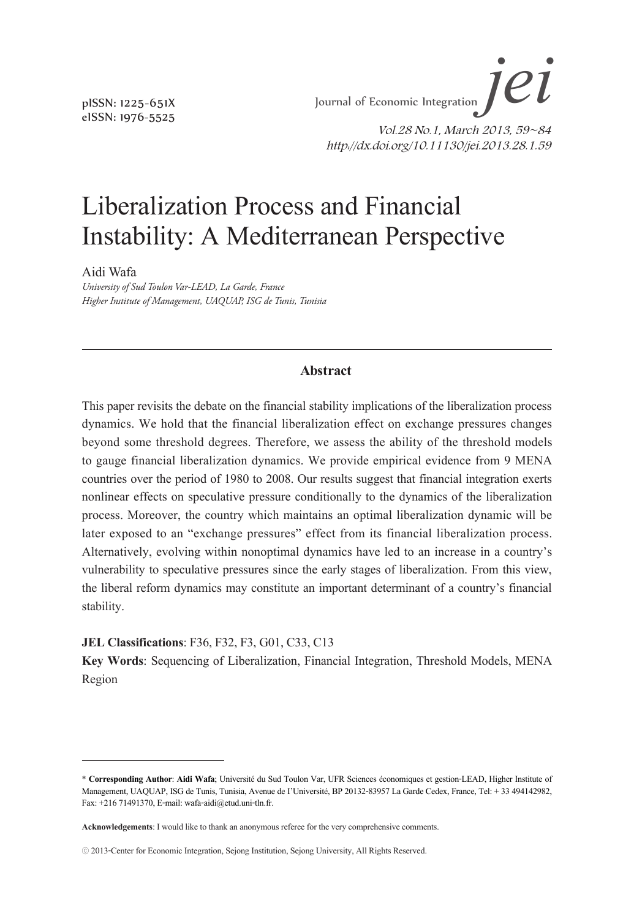*jei* Liberalization Process and Financial Instability: A Mediterranean Perspective Journal of Economic Integration  $\mathcal{I}\mathcal{C}\mathcal{U}$ 

> Vol.28 No.1, March 2013, 59~84 http://dx.doi.org/10.11130/jei.2013.28.1.59

# Liberalization Process and Financial Instability: A Mediterranean Perspective

Aidi Wafa

*University of Sud Toulon Var-LEAD, La Garde, France Higher Institute of Management, UAQUAP, ISG de Tunis, Tunisia*

#### **Abstract**

This paper revisits the debate on the financial stability implications of the liberalization process dynamics. We hold that the financial liberalization effect on exchange pressures changes beyond some threshold degrees. Therefore, we assess the ability of the threshold models to gauge financial liberalization dynamics. We provide empirical evidence from 9 MENA countries over the period of 1980 to 2008. Our results suggest that financial integration exerts nonlinear effects on speculative pressure conditionally to the dynamics of the liberalization process. Moreover, the country which maintains an optimal liberalization dynamic will be later exposed to an "exchange pressures" effect from its financial liberalization process. Alternatively, evolving within nonoptimal dynamics have led to an increase in a country's vulnerability to speculative pressures since the early stages of liberalization. From this view, the liberal reform dynamics may constitute an important determinant of a country's financial stability.

**JEL Classifications**: F36, F32, F3, G01, C33, C13

**Key Words**: Sequencing of Liberalization, Financial Integration, Threshold Models, MENA Region

pISSN: 1225-651X eISSN: 1976-5525

<sup>\*</sup> **Corresponding Author**: **Aidi Wafa**; Université du Sud Toulon Var, UFR Sciences économiques et gestion-LEAD, Higher Institute of Management, UAQUAP, ISG de Tunis, Tunisia, Avenue de I'Université, BP 20132-83957 La Garde Cedex, France, Tel: + 33 494142982, Fax: +216 71491370, E-mail: wafa-aidi@etud.uni-tln.fr.

**Acknowledgements**: I would like to thank an anonymous referee for the very comprehensive comments.

<sup>ⓒ</sup> 2013-Center for Economic Integration, Sejong Institution, Sejong University, All Rights Reserved.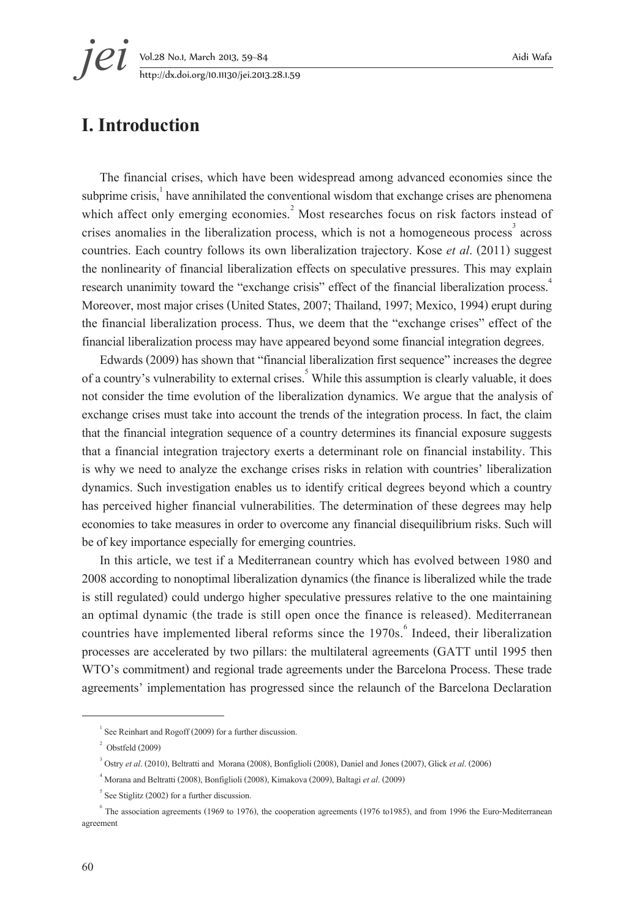**jei** Vol.28 No.1, March 2013, 59–84 Aidi Wafa<br>http://dx.doi.org/10.11130/jei.2013.28.1.59 http://dx.doi.org/10.11130/jei.2013.28.1.59

# **I. Introduction**

The financial crises, which have been widespread among advanced economies since the subprime crisis, $\frac{1}{n}$  have annihilated the conventional wisdom that exchange crises are phenomena which affect only emerging economies.<sup>2</sup> Most researches focus on risk factors instead of crises anomalies in the liberalization process, which is not a homogeneous process<sup>3</sup> across countries. Each country follows its own liberalization trajectory. Kose *et al*. (2011) suggest the nonlinearity of financial liberalization effects on speculative pressures. This may explain research unanimity toward the "exchange crisis" effect of the financial liberalization process.<sup>4</sup> Moreover, most major crises (United States, 2007; Thailand, 1997; Mexico, 1994) erupt during the financial liberalization process. Thus, we deem that the "exchange crises" effect of the financial liberalization process may have appeared beyond some financial integration degrees.

Edwards (2009) has shown that "financial liberalization first sequence" increases the degree of a country's vulnerability to external crises.<sup>5</sup> While this assumption is clearly valuable, it does not consider the time evolution of the liberalization dynamics. We argue that the analysis of exchange crises must take into account the trends of the integration process. In fact, the claim that the financial integration sequence of a country determines its financial exposure suggests that a financial integration trajectory exerts a determinant role on financial instability. This is why we need to analyze the exchange crises risks in relation with countries' liberalization dynamics. Such investigation enables us to identify critical degrees beyond which a country has perceived higher financial vulnerabilities. The determination of these degrees may help economies to take measures in order to overcome any financial disequilibrium risks. Such will be of key importance especially for emerging countries.

In this article, we test if a Mediterranean country which has evolved between 1980 and 2008 according to nonoptimal liberalization dynamics (the finance is liberalized while the trade is still regulated) could undergo higher speculative pressures relative to the one maintaining an optimal dynamic (the trade is still open once the finance is released). Mediterranean countries have implemented liberal reforms since the 1970s.<sup>6</sup> Indeed, their liberalization processes are accelerated by two pillars: the multilateral agreements (GATT until 1995 then WTO's commitment) and regional trade agreements under the Barcelona Process. These trade agreements' implementation has progressed since the relaunch of the Barcelona Declaration

 $1$  See Reinhart and Rogoff (2009) for a further discussion.

 $2^2$  Obstfeld (2009)

<sup>3</sup> Ostry *et al*. (2010), Beltratti and Morana (2008), Bonfiglioli (2008), Daniel and Jones (2007), Glick *et al*. (2006)

<sup>4</sup> Morana and Beltratti (2008), Bonfiglioli (2008), Kimakova (2009), Baltagi *et al*. (2009)

 $<sup>5</sup>$  See Stiglitz (2002) for a further discussion.</sup>

 $6$  The association agreements (1969 to 1976), the cooperation agreements (1976 to1985), and from 1996 the Euro-Mediterranean agreement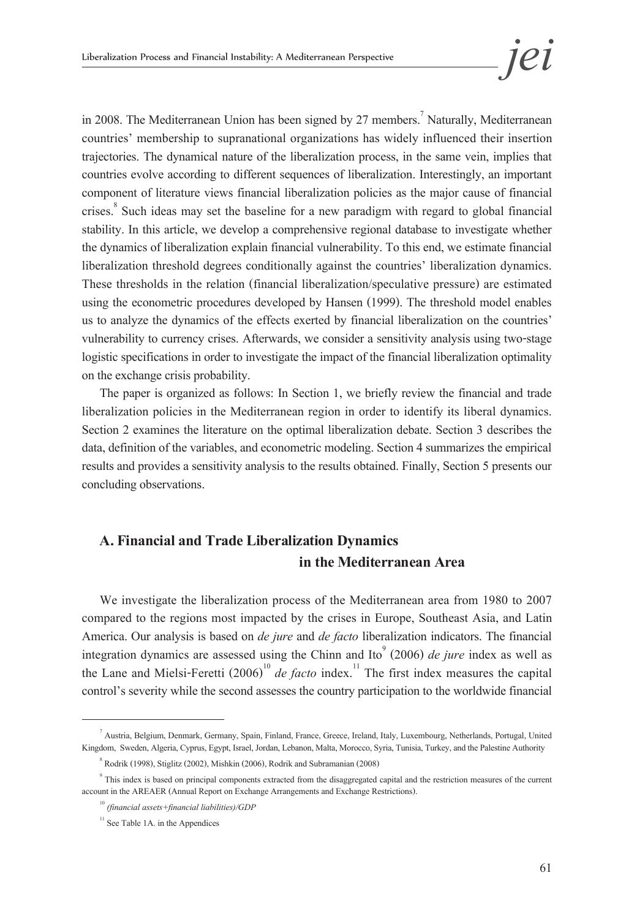in 2008. The Mediterranean Union has been signed by 27 members.<sup>7</sup> Naturally, Mediterranean countries' membership to supranational organizations has widely influenced their insertion trajectories. The dynamical nature of the liberalization process, in the same vein, implies that countries evolve according to different sequences of liberalization. Interestingly, an important component of literature views financial liberalization policies as the major cause of financial crises.<sup>8</sup> Such ideas may set the baseline for a new paradigm with regard to global financial stability. In this article, we develop a comprehensive regional database to investigate whether the dynamics of liberalization explain financial vulnerability. To this end, we estimate financial liberalization threshold degrees conditionally against the countries' liberalization dynamics. These thresholds in the relation (financial liberalization/speculative pressure) are estimated using the econometric procedures developed by Hansen (1999). The threshold model enables us to analyze the dynamics of the effects exerted by financial liberalization on the countries' vulnerability to currency crises. Afterwards, we consider a sensitivity analysis using two-stage logistic specifications in order to investigate the impact of the financial liberalization optimality on the exchange crisis probability.

The paper is organized as follows: In Section 1, we briefly review the financial and trade liberalization policies in the Mediterranean region in order to identify its liberal dynamics. Section 2 examines the literature on the optimal liberalization debate. Section 3 describes the data, definition of the variables, and econometric modeling. Section 4 summarizes the empirical results and provides a sensitivity analysis to the results obtained. Finally, Section 5 presents our concluding observations.

## **A. Financial and Trade Liberalization Dynamics in the Mediterranean Area**

We investigate the liberalization process of the Mediterranean area from 1980 to 2007 compared to the regions most impacted by the crises in Europe, Southeast Asia, and Latin America. Our analysis is based on *de jure* and *de facto* liberalization indicators. The financial integration dynamics are assessed using the Chinn and Ito<sup>9</sup> (2006) *de jure* index as well as the Lane and Mielsi-Feretti  $(2006)^{10}$  *de facto* index.<sup>11</sup> The first index measures the capital control's severity while the second assesses the country participation to the worldwide financial

<sup>7</sup> Austria, Belgium, Denmark, Germany, Spain, Finland, France, Greece, Ireland, Italy, Luxembourg, Netherlands, Portugal, United Kingdom, Sweden, Algeria, Cyprus, Egypt, Israel, Jordan, Lebanon, Malta, Morocco, Syria, Tunisia, Turkey, and the Palestine Authority

<sup>8</sup> Rodrik (1998), Stiglitz (2002), Mishkin (2006), Rodrik and Subramanian (2008)

<sup>9</sup> This index is based on principal components extracted from the disaggregated capital and the restriction measures of the current account in the AREAER (Annual Report on Exchange Arrangements and Exchange Restrictions).

<sup>10</sup> *(financial assets+financial liabilities)/GDP*

 $11$  See Table 1A. in the Appendices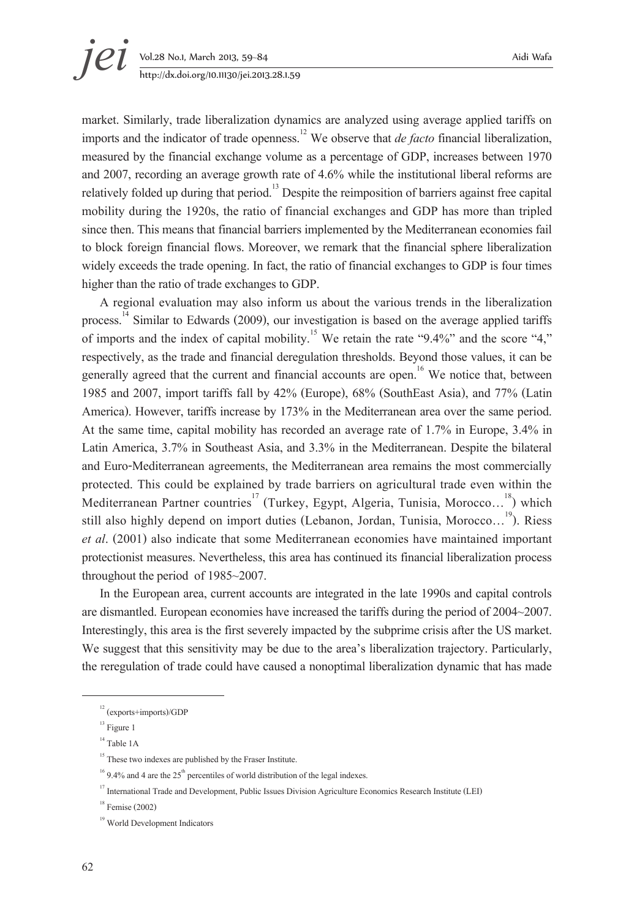# **jei** Vol.28 No.1, March 2013, 59–84 Aidi Wafa<br>http://dx.doi.org/10.11130/jei.2013.28.1.59 http://dx.doi.org/10.11130/jei.2013.28.1.59

market. Similarly, trade liberalization dynamics are analyzed using average applied tariffs on imports and the indicator of trade openness.<sup>12</sup> We observe that *de facto* financial liberalization, measured by the financial exchange volume as a percentage of GDP, increases between 1970 and 2007, recording an average growth rate of 4.6% while the institutional liberal reforms are relatively folded up during that period.<sup>13</sup> Despite the reimposition of barriers against free capital mobility during the 1920s, the ratio of financial exchanges and GDP has more than tripled since then. This means that financial barriers implemented by the Mediterranean economies fail to block foreign financial flows. Moreover, we remark that the financial sphere liberalization widely exceeds the trade opening. In fact, the ratio of financial exchanges to GDP is four times higher than the ratio of trade exchanges to GDP.

A regional evaluation may also inform us about the various trends in the liberalization process.<sup>14</sup> Similar to Edwards (2009), our investigation is based on the average applied tariffs of imports and the index of capital mobility.<sup>15</sup> We retain the rate "9.4%" and the score "4," respectively, as the trade and financial deregulation thresholds. Beyond those values, it can be generally agreed that the current and financial accounts are open.<sup>16</sup> We notice that, between 1985 and 2007, import tariffs fall by 42% (Europe), 68% (SouthEast Asia), and 77% (Latin America). However, tariffs increase by 173% in the Mediterranean area over the same period. At the same time, capital mobility has recorded an average rate of 1.7% in Europe, 3.4% in Latin America, 3.7% in Southeast Asia, and 3.3% in the Mediterranean. Despite the bilateral and Euro-Mediterranean agreements, the Mediterranean area remains the most commercially protected. This could be explained by trade barriers on agricultural trade even within the Mediterranean Partner countries<sup>17</sup> (Turkey, Egypt, Algeria, Tunisia, Morocco...<sup>18</sup>) which still also highly depend on import duties (Lebanon, Jordan, Tunisia, Morocco...<sup>19</sup>). Riess *et al*. (2001) also indicate that some Mediterranean economies have maintained important protectionist measures. Nevertheless, this area has continued its financial liberalization process throughout the period of 1985~2007.

In the European area, current accounts are integrated in the late 1990s and capital controls are dismantled. European economies have increased the tariffs during the period of 2004~2007. Interestingly, this area is the first severely impacted by the subprime crisis after the US market. We suggest that this sensitivity may be due to the area's liberalization trajectory. Particularly, the reregulation of trade could have caused a nonoptimal liberalization dynamic that has made

<sup>12 (</sup>exports+imports)/GDP

<sup>&</sup>lt;sup>13</sup> Figure 1

<sup>&</sup>lt;sup>14</sup> Table 1A

<sup>&</sup>lt;sup>15</sup> These two indexes are published by the Fraser Institute.

<sup>&</sup>lt;sup>16</sup> 9.4% and 4 are the 25<sup>th</sup> percentiles of world distribution of the legal indexes.<br><sup>17</sup> International Trade and Development, Public Issues Division Agriculture Economics Research Institute (LEI)

 $18$  Femise (2002)

<sup>19</sup> World Development Indicators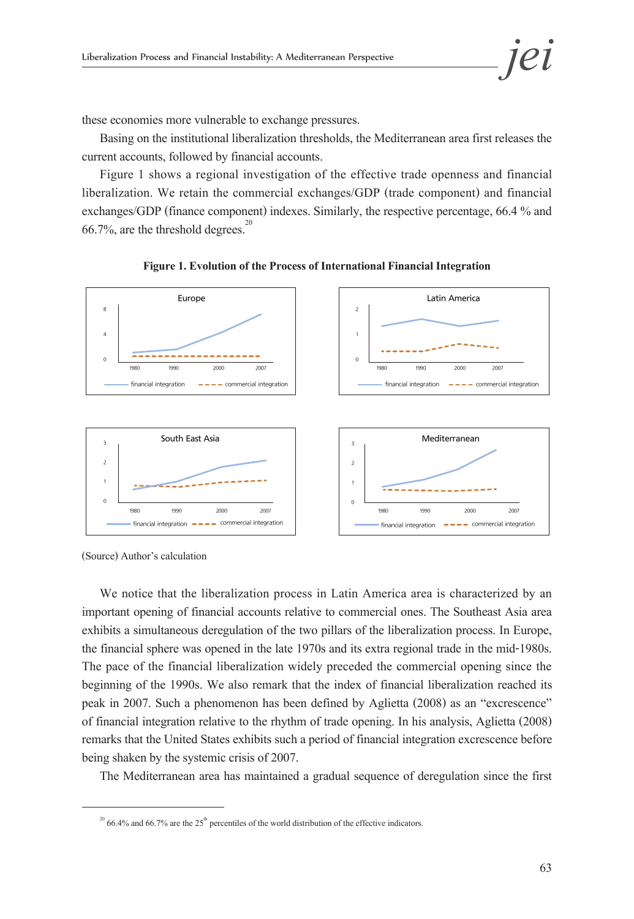these economies more vulnerable to exchange pressures.

Basing on the institutional liberalization thresholds, the Mediterranean area first releases the current accounts, followed by financial accounts.

Figure 1 shows a regional investigation of the effective trade openness and financial liberalization. We retain the commercial exchanges/GDP (trade component) and financial exchanges/GDP (finance component) indexes. Similarly, the respective percentage, 66.4 % and  $66.7\%$ , are the threshold degrees.<sup>20</sup>



**Figure 1. Evolution of the Process of International Financial Integration**

(Source) Author's calculation

We notice that the liberalization process in Latin America area is characterized by an important opening of financial accounts relative to commercial ones. The Southeast Asia area exhibits a simultaneous deregulation of the two pillars of the liberalization process. In Europe, the financial sphere was opened in the late 1970s and its extra regional trade in the mid-1980s. The pace of the financial liberalization widely preceded the commercial opening since the beginning of the 1990s. We also remark that the index of financial liberalization reached its peak in 2007. Such a phenomenon has been defined by Aglietta (2008) as an "excrescence" of financial integration relative to the rhythm of trade opening. In his analysis, Aglietta (2008) remarks that the United States exhibits such a period of financial integration excrescence before being shaken by the systemic crisis of 2007.

The Mediterranean area has maintained a gradual sequence of deregulation since the first

 $20$  66.4% and 66.7% are the 25<sup>th</sup> percentiles of the world distribution of the effective indicators.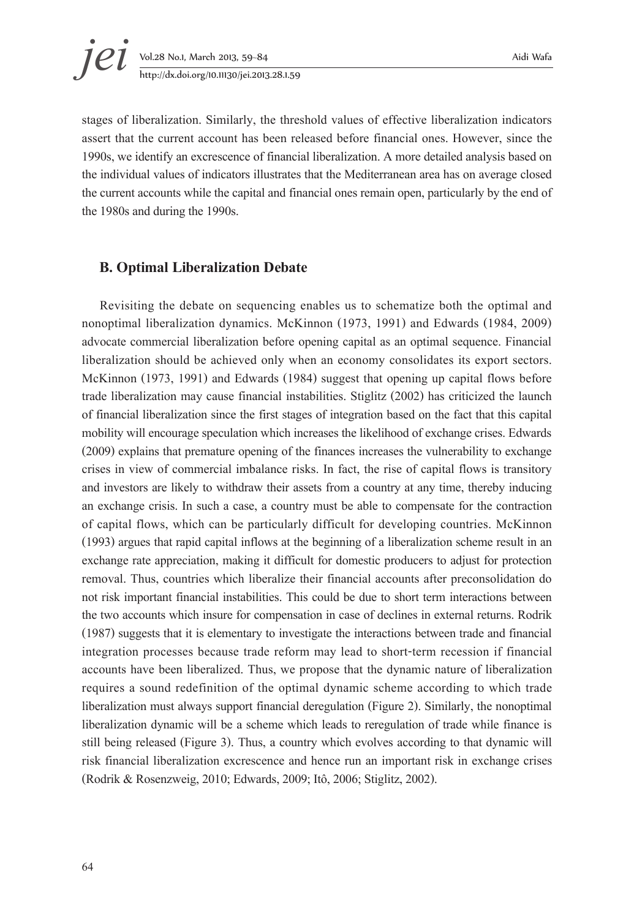# **jei** Vol.28 No.1, March 2013, 59–84 Aidi Wafa<br>http://dx.doi.org/10.11130/jei.2013.28.1.59 http://dx.doi.org/10.11130/jei.2013.28.1.59

stages of liberalization. Similarly, the threshold values of effective liberalization indicators assert that the current account has been released before financial ones. However, since the 1990s, we identify an excrescence of financial liberalization. A more detailed analysis based on the individual values of indicators illustrates that the Mediterranean area has on average closed the current accounts while the capital and financial ones remain open, particularly by the end of the 1980s and during the 1990s.

#### **B. Optimal Liberalization Debate**

Revisiting the debate on sequencing enables us to schematize both the optimal and nonoptimal liberalization dynamics. McKinnon (1973, 1991) and Edwards (1984, 2009) advocate commercial liberalization before opening capital as an optimal sequence. Financial liberalization should be achieved only when an economy consolidates its export sectors. McKinnon (1973, 1991) and Edwards (1984) suggest that opening up capital flows before trade liberalization may cause financial instabilities. Stiglitz (2002) has criticized the launch of financial liberalization since the first stages of integration based on the fact that this capital mobility will encourage speculation which increases the likelihood of exchange crises. Edwards (2009) explains that premature opening of the finances increases the vulnerability to exchange crises in view of commercial imbalance risks. In fact, the rise of capital flows is transitory and investors are likely to withdraw their assets from a country at any time, thereby inducing an exchange crisis. In such a case, a country must be able to compensate for the contraction of capital flows, which can be particularly difficult for developing countries. McKinnon (1993) argues that rapid capital inflows at the beginning of a liberalization scheme result in an exchange rate appreciation, making it difficult for domestic producers to adjust for protection removal. Thus, countries which liberalize their financial accounts after preconsolidation do not risk important financial instabilities. This could be due to short term interactions between the two accounts which insure for compensation in case of declines in external returns. Rodrik (1987) suggests that it is elementary to investigate the interactions between trade and financial integration processes because trade reform may lead to short-term recession if financial accounts have been liberalized. Thus, we propose that the dynamic nature of liberalization requires a sound redefinition of the optimal dynamic scheme according to which trade liberalization must always support financial deregulation (Figure 2). Similarly, the nonoptimal liberalization dynamic will be a scheme which leads to reregulation of trade while finance is still being released (Figure 3). Thus, a country which evolves according to that dynamic will risk financial liberalization excrescence and hence run an important risk in exchange crises (Rodrik & Rosenzweig, 2010; Edwards, 2009; Itô, 2006; Stiglitz, 2002).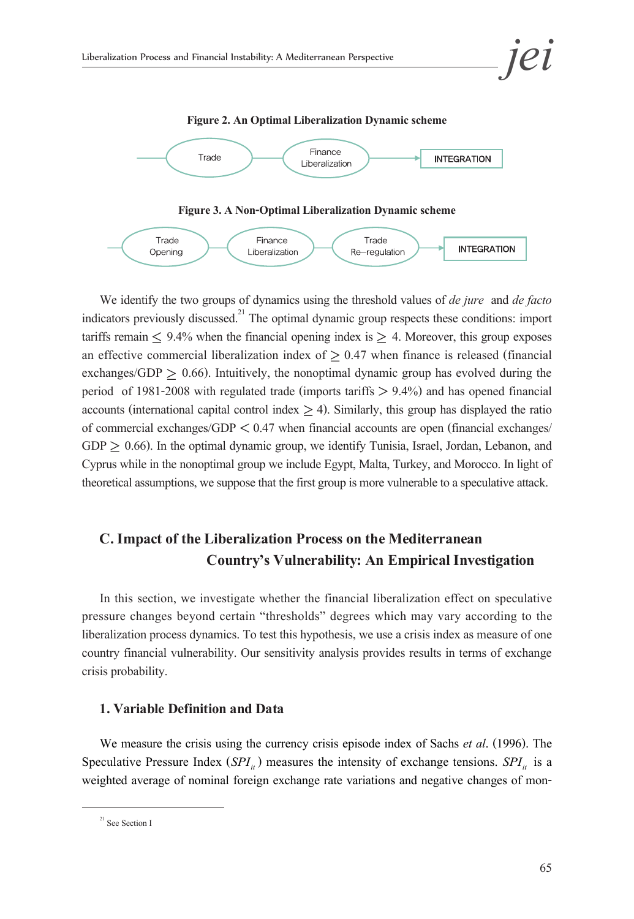

We identify the two groups of dynamics using the threshold values of *de jure* and *de facto* indicators previously discussed.<sup>21</sup> The optimal dynamic group respects these conditions: import tariffs remain  $\leq 9.4\%$  when the financial opening index is  $\geq 4$ . Moreover, this group exposes an effective commercial liberalization index of  $\geq 0.47$  when finance is released (financial exchanges/GDP  $\geq$  0.66). Intuitively, the nonoptimal dynamic group has evolved during the period of 1981-2008 with regulated trade (imports tariffs  $> 9.4\%$ ) and has opened financial accounts (international capital control index  $>$  4). Similarly, this group has displayed the ratio of commercial exchanges/GDP < 0.47 when financial accounts are open (financial exchanges/  $GDP > 0.66$ ). In the optimal dynamic group, we identify Tunisia, Israel, Jordan, Lebanon, and Cyprus while in the nonoptimal group we include Egypt, Malta, Turkey, and Morocco. In light of theoretical assumptions, we suppose that the first group is more vulnerable to a speculative attack.

## **C. Impact of the Liberalization Process on the Mediterranean Country's Vulnerability: An Empirical Investigation**

In this section, we investigate whether the financial liberalization effect on speculative pressure changes beyond certain "thresholds" degrees which may vary according to the liberalization process dynamics. To test this hypothesis, we use a crisis index as measure of one country financial vulnerability. Our sensitivity analysis provides results in terms of exchange crisis probability.

#### **1. Variable Definition and Data**

We measure the crisis using the currency crisis episode index of Sachs *et al*. (1996). The Speculative Pressure Index ( $SPI<sub>it</sub>$ ) measures the intensity of exchange tensions.  $SPI<sub>it</sub>$  is a weighted average of nominal foreign exchange rate variations and negative changes of mon-

<sup>&</sup>lt;sup>21</sup> See Section I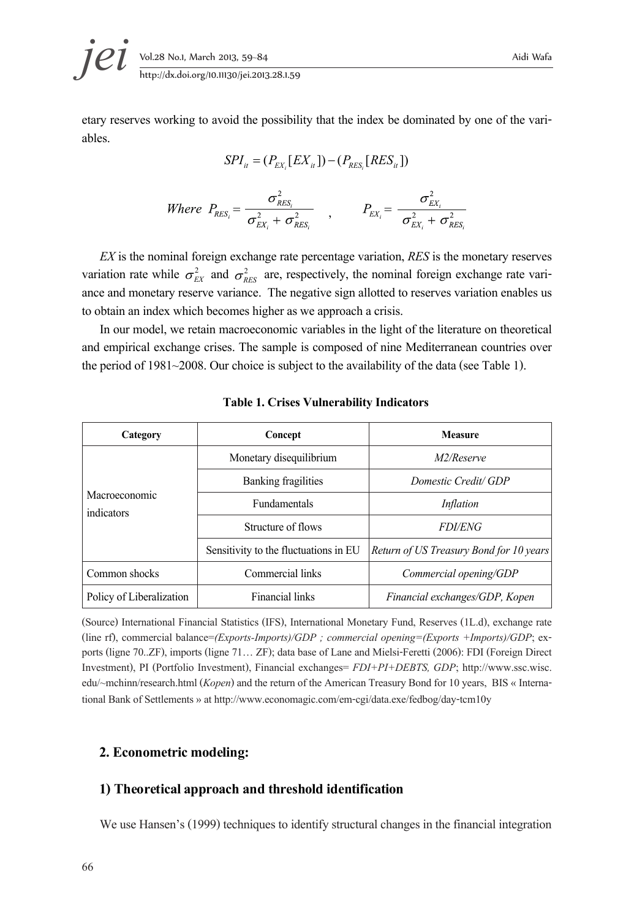**jei** Vol.28 No.1, March 2013, 59–84 Aidi Wafa<br>http://dx.doi.org/10.11130/jei.2013.28.1.59

etary reserves working to avoid the possibility that the index be dominated by one of the vari- ables.

$$
SPI_{it} = (P_{EX_i}[EX_{it}]) - (P_{RES_i}[RES_{it}])
$$

Where 
$$
P_{RES_i} = \frac{\sigma_{RES_i}^2}{\sigma_{EX_i}^2 + \sigma_{RES_i}^2}
$$
,  $P_{EX_i} = \frac{\sigma_{EX_i}^2}{\sigma_{EX_i}^2 + \sigma_{RES_i}^2}$ 

 *EX* is the nominal foreign exchange rate percentage variation, *RES* is the monetary reserves variation rate while  $\sigma_{EX}^2$  and  $\sigma_{RES}^2$  are, respectively, the nominal foreign exchange rate vari-<br>ance and monetary reserve variance. The negative sign allotted to reserves variation enables us to obtain an index which becomes higher as we approach a crisis.

In our model, we retain macroeconomic variables in the light of the literature on theoretical and empirical exchange crises. The sample is composed of nine Mediterranean countries over the period of 1981~2008. Our choice is subject to the availability of the data (see Table 1).

| Category                    | Concept                               | <b>Measure</b>                          |  |
|-----------------------------|---------------------------------------|-----------------------------------------|--|
|                             | Monetary disequilibrium               | M2/Reserve                              |  |
|                             | <b>Banking fragilities</b>            | Domestic Credit/GDP                     |  |
| Macroeconomic<br>indicators | <b>Fundamentals</b>                   | <i>Inflation</i>                        |  |
|                             | Structure of flows                    | <i>FDI/ENG</i>                          |  |
|                             | Sensitivity to the fluctuations in EU | Return of US Treasury Bond for 10 years |  |
| Common shocks               | Commercial links                      | Commercial opening/GDP                  |  |
| Policy of Liberalization    | <b>Financial links</b>                | Financial exchanges/GDP, Kopen          |  |

#### **Table 1. Crises Vulnerability Indicators**

(Source) International Financial Statistics (IFS), International Monetary Fund, Reserves (1L.d), exchange rate (line rf), commercial balance=(Exports-Imports)/GDP; commercial opening=(Exports +Imports)/GDP; exports (ligne 70..2F), imports (ligne 71... ZF); data base of Lane and Mielsi-Feretti (2006): FDI (Foreign Direct Investment), PI (Portfolio Investment), Financial exchanges= *FDI+PI+DEBTS, GDP*; http://www.ssc.wisc. edu/~mchinn/research.html (*Kopen*) and the return of the American Treasury Bond for 10 years, BIS « International Bank of Settlements» at http://www.economagic.com/em-cgi/data.exe/fedbog/day-tcm10y

#### **2. Econometric modeling:**

#### **1) Theoretical approach and threshold identification**

We use Hansen's (1999) techniques to identify structural changes in the financial integration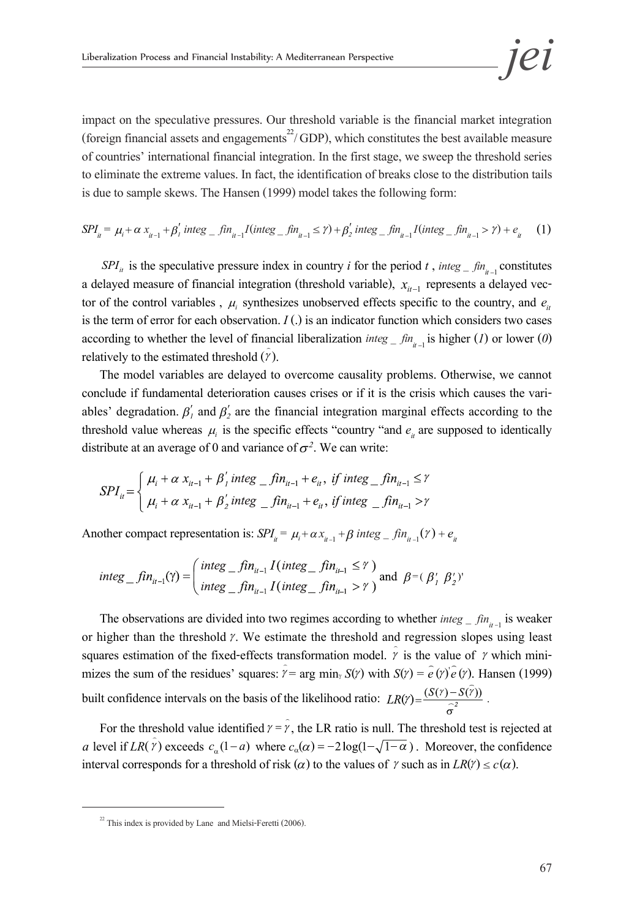impact on the speculative pressures. Our threshold variable is the financial market integration (foreign financial assets and engagements<sup>22</sup>/GDP), which constitutes the best available measure of countries' international financial integration. In the first stage, we sweep the threshold series to eliminate the extreme values. In fact, the identification of breaks close to the distribution tails is due to sample skews. The Hansen (1999) model takes the following form:

$$
SPI_{ii} = \mu_i + \alpha x_{i_{i-1}} + \beta'_i \text{ integ} = \text{fin}_{i_{i-1}} I(\text{integ} - \text{fin}_{i_{i-1}} \le \gamma) + \beta'_2 \text{ integ} = \text{fin}_{i_{i-1}} I(\text{integ} - \text{fin}_{i_{i-1}} > \gamma) + e_{i_{i}} \tag{1}
$$

*SPI*<sub>*it*</sub> is the speculative pressure index in country *i* for the period *t*, *integ*  $\int$ *fin*<sub>*it*</sub> 1 constitutes a delayed measure of financial integration (threshold variable),  $x_{it-1}$  represents a delayed vector of the control variables,  $\mu_i$  synthesizes unobserved effects specific to the country, and  $e_{it}$ is the term of error for each observation. *I* (.) is an indicator function which considers two cases according to whether the level of financial liberalization *integ \_ fin<sub>it</sub>*, is higher (*1*) or lower (*0*) relatively to the estimated threshold  $(\hat{r})$ .

The model variables are delayed to overcome causality problems. Otherwise, we cannot conclude if fundamental deterioration causes crises or if it is the crisis which causes the vari-<br>ables' degradation.  $\beta'_1$  and  $\beta'_2$  are the financial integration marginal effects according to the threshold value whereas  $\mu_i$  is the specific effects "country "and  $e_i$  are supposed to identically distribute at an average of 0 and variance of  $\sigma^2$ . We can write:

$$
SPI_{ii} = \begin{cases} \mu_i + \alpha \ x_{it-1} + \beta'_i \text{ integ }_{-} f \text{ in } i \neq i, & if \text{ integ }_{-} f \text{ in } i \neq i \\ \mu_i + \alpha \ x_{it-1} + \beta'_2 \text{ integ }_{-} f \text{ in } i \neq i, & if \text{ integ }_{-} f \text{ in } i \neq i \end{cases}
$$

Another compact representation is:  $SPI_i = \mu_i + \alpha x_{i-1} + \beta$  integ \_ fin<sub>it-1</sub>( $\gamma$ ) +  $e_i$ 

$$
integ\_fin_{ii-1}(\gamma) = \left(\begin{matrix} integ\_fin_{ii-1} I(integ\_fin_{ii-1} \leq \gamma) \\ integ\_fin_{ii-1} I(integ\_fin_{ii-1} > \gamma) \end{matrix}\right) \text{ and } \beta = (\beta_1' \beta_2')'
$$

The observations are divided into two regimes according to whether  $\int_{t=1}^{\infty}$  fin<sub>it-1</sub> is weaker or higher than the threshold  $\gamma$ . We estimate the threshold and regression slopes using least squares estimation of the fixed-effects transformation model.  $\gamma$  is the value of  $\gamma$  which minisquares estimation of the fixed-effects transformation model.  $\hat{\gamma}$  is the value of  $\gamma$  which mini-<br>mizes the sum of the residues' squares:  $\hat{\gamma} = \arg \min_{\gamma} S(\gamma)$  with  $S(\gamma) = \hat{e}(\gamma)\hat{e}(\gamma)$ . Hansen (1999)  $\hat{y}$  = arg min<sub>*i*</sub> *S*(*γ*) with *S*(*γ*) =  $\hat{e}$  (*γ*) $\hat{e}$  (*γ*). Hansen (1999) ꞌ built confidence intervals on the basis of the likelihood ratio:  $LR(Y) = \frac{(S(Y) - S(\tilde{Y}))}{\tilde{C}^2}$ .

For the threshold value identified  $\gamma = \hat{r}$ , the LR ratio is null. The threshold test is rejected at *a* level if  $LR(\hat{r})$  exceeds  $c_{\alpha}(1-a)$  where  $c_{\alpha}(\alpha) = -2\log(1-\sqrt{1-\alpha})$ . Moreover, the confidence interval corresponds for a threshold of risk ( $\alpha$ ) to the values of  $\gamma$  such as in  $LR(\gamma) \leq c(\alpha)$ .

 $22$  This index is provided by Lane and Mielsi-Feretti (2006).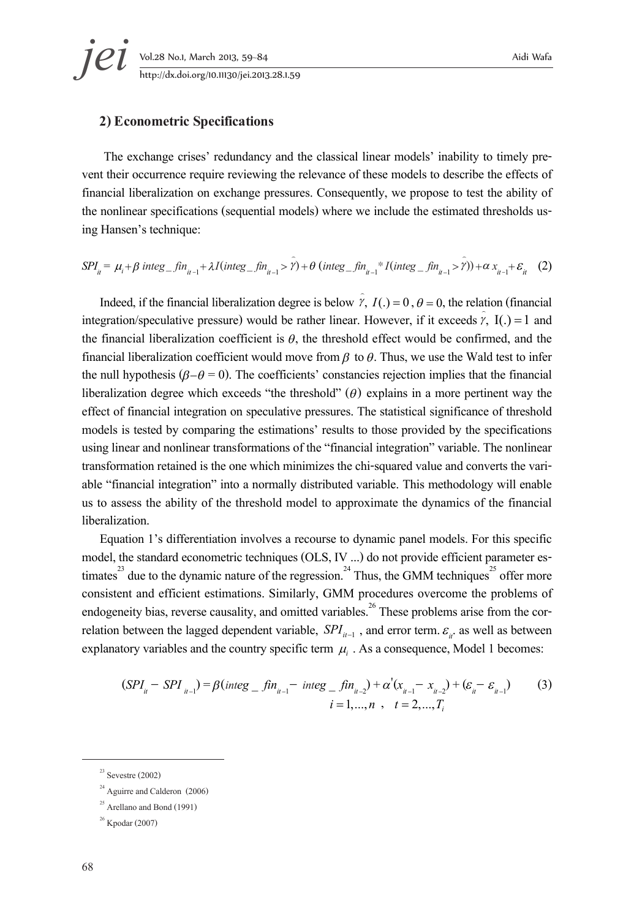#### **2) Econometric Specifications**

The exchange crises' redundancy and the classical linear models' inability to timely pre-<br>vent their occurrence require reviewing the relevance of these models to describe the effects of financial liberalization on exchange pressures. Consequently, we propose to test the ability of the nonlinear specifications (sequential models) where we include the estimated thresholds us- ing Hansen's technique:

$$
SPI_{u} = \mu_{i} + \beta \text{ integ}_{-}f_{n_{u-1}} + \lambda I(\text{integ}_{-}f_{n_{u-1}} > \gamma) + \theta (\text{integ}_{-}f_{n_{u-1}} * I(\text{integ}_{-}f_{n_{u-1}} > \gamma)) + \alpha x_{u-1} + \varepsilon_{u} \tag{2}
$$

Indeed, if the financial liberalization degree is below  $\hat{y}$ ,  $I(.) = 0$ ,  $\theta = 0$ , the relation (financial integration/speculative pressure) would be rather linear. However, if it exceeds  $\hat{v}$ , I(.) = 1 and the financial liberalization coefficient is  $\theta$ , the threshold effect would be confirmed, and the financial liberalization coefficient would move from  $\beta$  to  $\theta$ . Thus, we use the Wald test to infer the null hypothesis ( $\beta - \theta = 0$ ). The coefficients' constancies rejection implies that the financial liberalization degree which exceeds "the threshold"  $(\theta)$  explains in a more pertinent way the effect of financial integration on speculative pressures. The statistical significance of threshold models is tested by comparing the estimations' results to those provided by the specifications using linear and nonlinear transformations of the "financial integration" variable. The nonlinear transformation retained is the one which minimizes the chi-squared value and converts the vari- able "financial integration" into a normally distributed variable. This methodology will enable us to assess the ability of the threshold model to approximate the dynamics of the financial liberalization.

Equation 1's differentiation involves a recourse to dynamic panel models. For this specific model, the standard econometric techniques (OLS, IV ...) do not provide efficient parameter estimates<sup>23</sup> due to the dynamic nature of the regression.<sup>24</sup> Thus, the GMM techniques<sup>25</sup> offer more consistent and efficient estimations. Similarly, GMM procedures overcome the problems of endogeneity bias, reverse causality, and omitted variables.<sup>26</sup> These problems arise from the correlation between the lagged dependent variable, *SPI*<sub>*i+*</sub>, and error term.  $\varepsilon$ <sub>*i*</sub>. as well as between explanatory variables and the country specific term  $\mu_i$ . As a consequence, Model 1 becomes:

$$
(SPI_{ii} - SPI_{ii-1}) = \beta (integ_{i} - fin_{ii-1} - integ_{i} - fin_{ii-2}) + \alpha'(x_{ii-1} - x_{ii-2}) + (\varepsilon_{ii} - \varepsilon_{ii-1})
$$
(3)  

$$
i = 1,...,n, t = 2,...,T_{i}
$$

 $23$  Sevestre (2002)

<sup>&</sup>lt;sup>24</sup> Aguirre and Calderon (2006)

 $^{25}$  Arellano and Bond (1991)

<sup>26</sup> Kpodar (2007)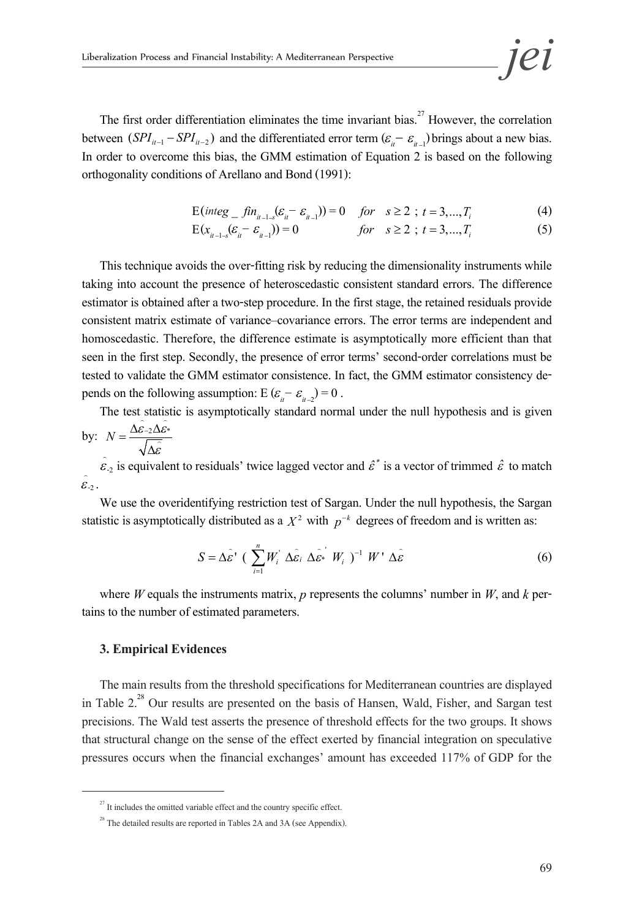The first order differentiation eliminates the time invariant bias.<sup>27</sup> However, the correlation between  $(SPI_{i-1} - SPI_{i-2})$  and the differentiated error term  $(\varepsilon_{i} - \varepsilon_{i-1})$  brings about a new bias. In order to overcome this bias, the GMM estimation of Equation 2 is based on the following orthogonality conditions of Arellano and Bond (1991):

$$
E(integ_{-}fn_{it-1-s}(\varepsilon_{it} - \varepsilon_{it-})) = 0 \quad for \quad s \ge 2 \, ; \, t = 3,...,T_i \tag{4}
$$

$$
E(x_{u-1-s}(\varepsilon_{u} - \varepsilon_{u-1})) = 0 \qquad \qquad \text{for} \quad s \ge 2 \, ; \, t = 3,...,T_{i} \tag{5}
$$

This technique avoids the over-fitting risk by reducing the dimensionality instruments while taking into account the presence of heteroscedastic consistent standard errors. The difference estimator is obtained after a two-step procedure. In the first stage, the retained residuals provide consistent matrix estimate of variance–covariance errors. The error terms are independent and homoscedastic. Therefore, the difference estimate is asymptotically more efficient than that seen in the first step. Secondly, the presence of error terms' second-order correlations must be tested to validate the GMM estimator consistence. In fact, the GMM estimator consistency de- $-\varepsilon_{t-2}^{\,}$ ) = 0.

The test statistic is asymptotically standard normal under the null hypothesis and is given by:  $N = \frac{\Delta \hat{\varepsilon}_{-2} \Delta \hat{\varepsilon}^*}{\sqrt{2\pi}}$  $\frac{\varepsilon_{-2}\Delta}{\sqrt{2\pi}}$  $\frac{\Delta \mathcal{E}}{\mathcal{E}}$ 

∆ε  $\hat{\epsilon}_2$  is equivalent to residuals' twice lagged vector and  $\hat{\epsilon}^*$  is a vector of trimmed  $\hat{\epsilon}$  to match  $\hat{\mathcal{E}}_2$ .

We use the overidentifying restriction test of Sargan. Under the null hypothesis, the Sargan statistic is asymptotically distributed as a  $X^2$  with  $p^{-k}$  degrees of freedom and is written as:

$$
S = \Delta \hat{\varepsilon}^{\prime} \left( \sum_{i=1}^{n} W_i^{\prime} \Delta \hat{\varepsilon}_i \Delta \hat{\varepsilon}_j^{\prime} W_i^{\prime} \right)^{-1} W^{\prime} \Delta \hat{\varepsilon}
$$
(6)

where *W* equals the instruments matrix, *p* represents the columns' number in *W*, and *k* pertains to the number of estimated parameters.

#### **3. Empirical Evidences**

The main results from the threshold specifications for Mediterranean countries are displayed in Table 2.<sup>28</sup> Our results are presented on the basis of Hansen, Wald, Fisher, and Sargan test precisions. The Wald test asserts the presence of threshold effects for the two groups. It shows that structural change on the sense of the effect exerted by financial integration on speculative pressures occurs when the financial exchanges' amount has exceeded 117% of GDP for the

 $27$  It includes the omitted variable effect and the country specific effect.

 $^{28}$  The detailed results are reported in Tables 2A and 3A (see Appendix).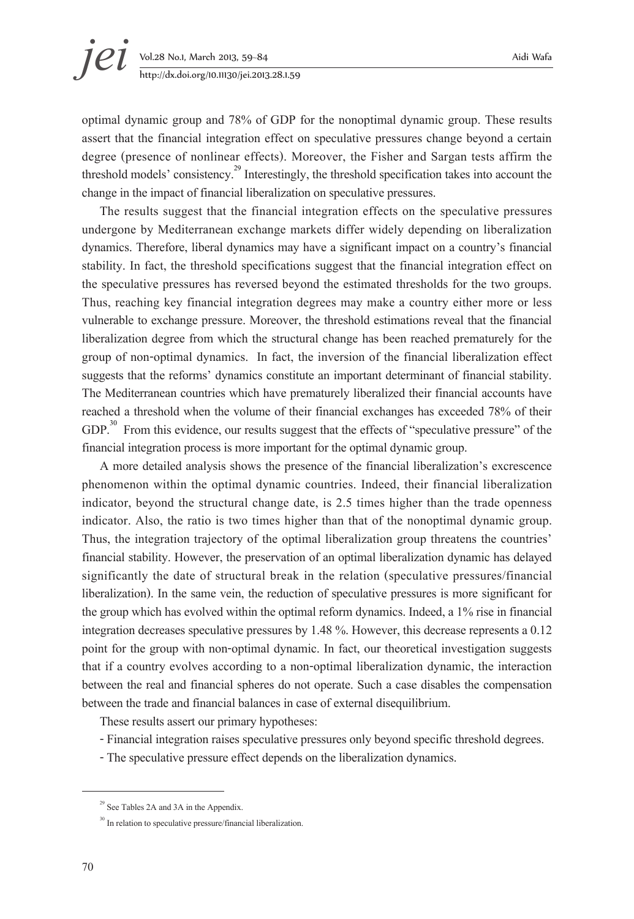optimal dynamic group and 78% of GDP for the nonoptimal dynamic group. These results assert that the financial integration effect on speculative pressures change beyond a certain degree (presence of nonlinear effects). Moreover, the Fisher and Sargan tests affirm the threshold models' consistency.<sup>29</sup> Interestingly, the threshold specification takes into account the change in the impact of financial liberalization on speculative pressures.

The results suggest that the financial integration effects on the speculative pressures undergone by Mediterranean exchange markets differ widely depending on liberalization dynamics. Therefore, liberal dynamics may have a significant impact on a country's financial stability. In fact, the threshold specifications suggest that the financial integration effect on the speculative pressures has reversed beyond the estimated thresholds for the two groups. Thus, reaching key financial integration degrees may make a country either more or less vulnerable to exchange pressure. Moreover, the threshold estimations reveal that the financial liberalization degree from which the structural change has been reached prematurely for the group of non-optimal dynamics. In fact, the inversion of the financial liberalization effect suggests that the reforms' dynamics constitute an important determinant of financial stability. The Mediterranean countries which have prematurely liberalized their financial accounts have reached a threshold when the volume of their financial exchanges has exceeded 78% of their GDP.<sup>30</sup> From this evidence, our results suggest that the effects of "speculative pressure" of the financial integration process is more important for the optimal dynamic group.

A more detailed analysis shows the presence of the financial liberalization's excrescence phenomenon within the optimal dynamic countries. Indeed, their financial liberalization indicator, beyond the structural change date, is 2.5 times higher than the trade openness indicator. Also, the ratio is two times higher than that of the nonoptimal dynamic group. Thus, the integration trajectory of the optimal liberalization group threatens the countries' financial stability. However, the preservation of an optimal liberalization dynamic has delayed significantly the date of structural break in the relation (speculative pressures/financial liberalization). In the same vein, the reduction of speculative pressures is more significant for the group which has evolved within the optimal reform dynamics. Indeed, a 1% rise in financial integration decreases speculative pressures by 1.48 %. However, this decrease represents a 0.12 point for the group with non-optimal dynamic. In fact, our theoretical investigation suggests that if a country evolves according to a non-optimal liberalization dynamic, the interaction between the real and financial spheres do not operate. Such a case disables the compensation between the trade and financial balances in case of external disequilibrium.

These results assert our primary hypotheses:

- Financial integration raises speculative pressures only beyond specific threshold degrees.
- The speculative pressure effect depends on the liberalization dynamics.

 $29$  See Tables 2A and 3A in the Appendix.

<sup>&</sup>lt;sup>30</sup> In relation to speculative pressure/financial liberalization.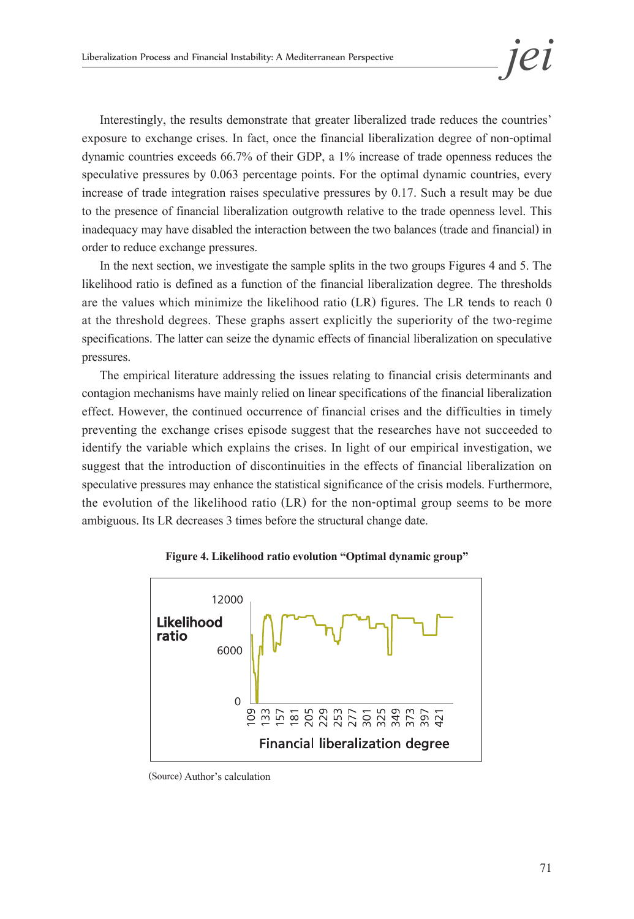Interestingly, the results demonstrate that greater liberalized trade reduces the countries' exposure to exchange crises. In fact, once the financial liberalization degree of non-optimal dynamic countries exceeds 66.7% of their GDP, a 1% increase of trade openness reduces the speculative pressures by 0.063 percentage points. For the optimal dynamic countries, every increase of trade integration raises speculative pressures by 0.17. Such a result may be due to the presence of financial liberalization outgrowth relative to the trade openness level. This inadequacy may have disabled the interaction between the two balances (trade and financial) in order to reduce exchange pressures.

In the next section, we investigate the sample splits in the two groups Figures 4 and 5. The likelihood ratio is defined as a function of the financial liberalization degree. The thresholds are the values which minimize the likelihood ratio (LR) figures. The LR tends to reach 0 at the threshold degrees. These graphs assert explicitly the superiority of the two-regime specifications. The latter can seize the dynamic effects of financial liberalization on speculative pressures.

The empirical literature addressing the issues relating to financial crisis determinants and contagion mechanisms have mainly relied on linear specifications of the financial liberalization effect. However, the continued occurrence of financial crises and the difficulties in timely preventing the exchange crises episode suggest that the researches have not succeeded to identify the variable which explains the crises. In light of our empirical investigation, we suggest that the introduction of discontinuities in the effects of financial liberalization on speculative pressures may enhance the statistical significance of the crisis models. Furthermore, the evolution of the likelihood ratio (LR) for the non-optimal group seems to be more ambiguous. Its LR decreases 3 times before the structural change date.



**Figure 4. Likelihood ratio evolution "Optimal dynamic group"** 

(Source) Author's calculation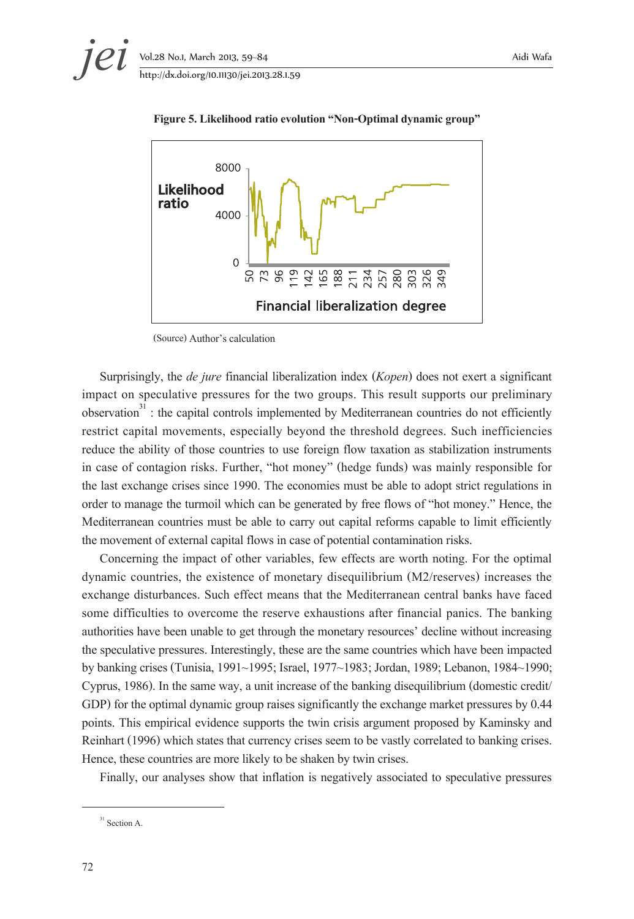

**Figure 5. Likelihood ratio evolution "Non-Optimal dynamic group"** 

(Source) Author's calculation

Surprisingly, the *de jure* financial liberalization index (*Kopen*) does not exert a significant impact on speculative pressures for the two groups. This result supports our preliminary observation $3^3$ : the capital controls implemented by Mediterranean countries do not efficiently restrict capital movements, especially beyond the threshold degrees. Such inefficiencies reduce the ability of those countries to use foreign flow taxation as stabilization instruments in case of contagion risks. Further, "hot money" (hedge funds) was mainly responsible for the last exchange crises since 1990. The economies must be able to adopt strict regulations in order to manage the turmoil which can be generated by free flows of "hot money." Hence, the Mediterranean countries must be able to carry out capital reforms capable to limit efficiently the movement of external capital flows in case of potential contamination risks.

Concerning the impact of other variables, few effects are worth noting. For the optimal dynamic countries, the existence of monetary disequilibrium (M2/reserves) increases the exchange disturbances. Such effect means that the Mediterranean central banks have faced some difficulties to overcome the reserve exhaustions after financial panics. The banking authorities have been unable to get through the monetary resources' decline without increasing the speculative pressures. Interestingly, these are the same countries which have been impacted by banking crises (Tunisia, 1991~1995; Israel, 1977~1983; Jordan, 1989; Lebanon, 1984~1990; Cyprus, 1986). In the same way, a unit increase of the banking disequilibrium (domestic credit/ GDP) for the optimal dynamic group raises significantly the exchange market pressures by 0.44 points. This empirical evidence supports the twin crisis argument proposed by Kaminsky and Reinhart (1996) which states that currency crises seem to be vastly correlated to banking crises. Hence, these countries are more likely to be shaken by twin crises.

Finally, our analyses show that inflation is negatively associated to speculative pressures

 $31$  Section A.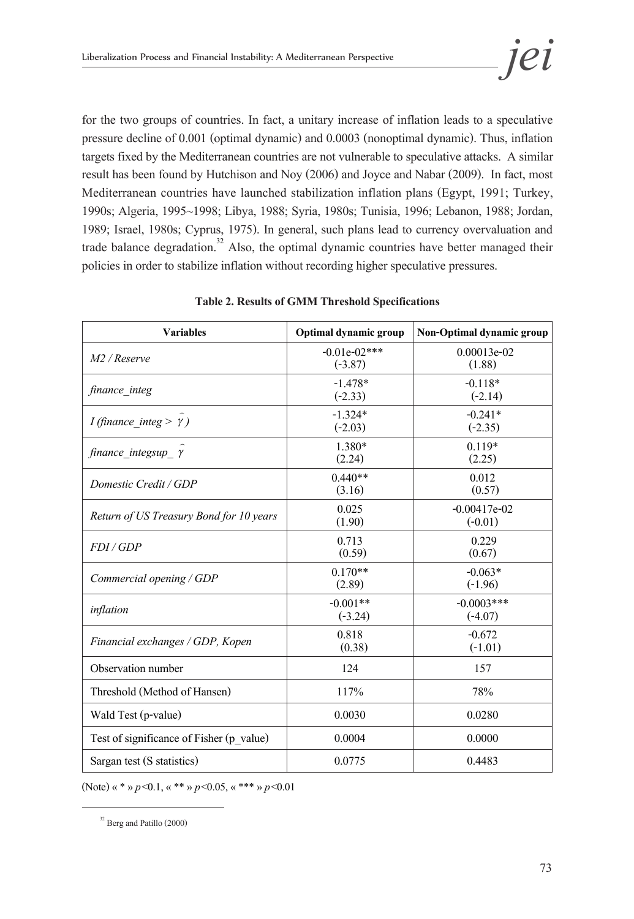for the two groups of countries. In fact, a unitary increase of inflation leads to a speculative pressure decline of 0.001 (optimal dynamic) and 0.0003 (nonoptimal dynamic). Thus, inflation targets fixed by the Mediterranean countries are not vulnerable to speculative attacks. A similar result has been found by Hutchison and Noy (2006) and Joyce and Nabar (2009). In fact, most Mediterranean countries have launched stabilization inflation plans (Egypt, 1991; Turkey, 1990s; Algeria, 1995~1998; Libya, 1988; Syria, 1980s; Tunisia, 1996; Lebanon, 1988; Jordan, 1989; Israel, 1980s; Cyprus, 1975). In general, such plans lead to currency overvaluation and trade balance degradation.<sup>32</sup> Also, the optimal dynamic countries have better managed their policies in order to stabilize inflation without recording higher speculative pressures.

| <b>Variables</b>                         | Optimal dynamic group       | Non-Optimal dynamic group   |
|------------------------------------------|-----------------------------|-----------------------------|
| $M2$ / Reserve                           | $-0.01e-02***$<br>$(-3.87)$ | $0.00013e-02$<br>(1.88)     |
| finance integ                            | $-1.478*$<br>$(-2.33)$      | $-0.118*$<br>$(-2.14)$      |
| <i>I</i> (finance integ > $\gamma$ )     | $-1.324*$<br>$(-2.03)$      | $-0.241*$<br>$(-2.35)$      |
| finance integsup $\gamma$                | 1.380*<br>(2.24)            | $0.119*$<br>(2.25)          |
| Domestic Credit / GDP                    | $0.440**$<br>(3.16)         | 0.012<br>(0.57)             |
| Return of US Treasury Bond for 10 years  | 0.025<br>(1.90)             | $-0.00417e-02$<br>$(-0.01)$ |
| FDI/GDP                                  | 0.713<br>(0.59)             | 0.229<br>(0.67)             |
| Commercial opening / GDP                 | $0.170**$<br>(2.89)         | $-0.063*$<br>$(-1.96)$      |
| inflation                                | $-0.001**$<br>$(-3.24)$     | $-0.0003$ ***<br>$(-4.07)$  |
| Financial exchanges / GDP, Kopen         | 0.818<br>(0.38)             | $-0.672$<br>$(-1.01)$       |
| Observation number                       | 124                         | 157                         |
| Threshold (Method of Hansen)             | 117%                        | 78%                         |
| Wald Test (p-value)                      | 0.0030                      | 0.0280                      |
| Test of significance of Fisher (p value) | 0.0004                      | 0.0000                      |
| Sargan test (S statistics)               | 0.0775                      | 0.4483                      |

**Table 2. Results of GMM Threshold Specifications**

(Note) «\*»*p*<0.1,«\*\*» *p*<0.05, «\*\*\*» *p*<0.01

 $32$  Berg and Patillo (2000)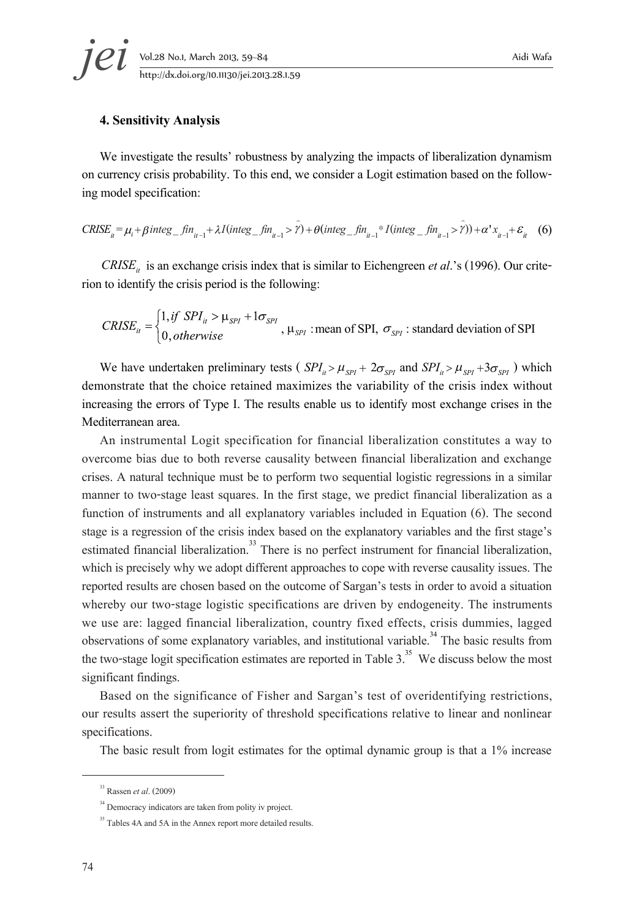# **jei** Vol.28 No.1, March 2013, 59–84 Aidi Wafa<br>http://dx.doi.org/10.11130/jei.2013.28.1.59

#### **4. Sensitivity Analysis**

We investigate the results' robustness by analyzing the impacts of liberalization dynamism on currency crisis probability. To this end, we consider a Logit estimation based on the follow- ing model specification:

$$
CRISE_{ii} = \mu_i + \beta \, integ\_fin_{it-1} + \lambda I (integ\_fin_{it-1} > \hat{Y}) + \theta (integ\_fin_{it-1} * I (integ\_fin_{it-1} > \hat{Y})) + \alpha' x_{it-1} + \varepsilon_{it} \tag{6}
$$

*CRISE<sub>it</sub>* is an exchange crisis index that is similar to Eichengreen *et al*.'s (1996). Our crite- rion to identify the crisis period is the following:

$$
CRISE_{it} = \begin{cases} 1, if \ SPI_{it} > \mu_{SPI} + 1\sigma_{SPI} \\ 0, otherwise \end{cases}
$$
,  $\mu_{SPI}$  : mean of SPI,  $\sigma_{SPI}$  : standard deviation of SPI

We have undertaken preliminary tests ( $SPI_i > \mu_{SPI} + 2\sigma_{SPI}$  and  $SPI_i > \mu_{SPI} + 3\sigma_{SPI}$ ) which demonstrate that the choice retained maximizes the variability of the crisis index without increasing the errors of Type I. The results enable us to identify most exchange crises in the Mediterranean area.

An instrumental Logit specification for financial liberalization constitutes a way to overcome bias due to both reverse causality between financial liberalization and exchange crises. A natural technique must be to perform two sequential logistic regressions in a similar manner to two-stage least squares. In the first stage, we predict financial liberalization as a function of instruments and all explanatory variables included in Equation (6). The second stage is a regression of the crisis index based on the explanatory variables and the first stage's estimated financial liberalization.<sup>33</sup> There is no perfect instrument for financial liberalization, which is precisely why we adopt different approaches to cope with reverse causality issues. The reported results are chosen based on the outcome of Sargan's tests in order to avoid a situation whereby our two-stage logistic specifications are driven by endogeneity. The instruments we use are: lagged financial liberalization, country fixed effects, crisis dummies, lagged observations of some explanatory variables, and institutional variable.<sup>34</sup> The basic results from the two-stage logit specification estimates are reported in Table  $3<sup>35</sup>$ . We discuss below the most significant findings.

Based on the significance of Fisher and Sargan's test of overidentifying restrictions, our results assert the superiority of threshold specifications relative to linear and nonlinear specifications.

The basic result from logit estimates for the optimal dynamic group is that a 1% increase

<sup>33</sup> Rassen *et al*. (2009)

<sup>&</sup>lt;sup>34</sup> Democracy indicators are taken from polity iv project.

<sup>&</sup>lt;sup>35</sup> Tables 4A and 5A in the Annex report more detailed results.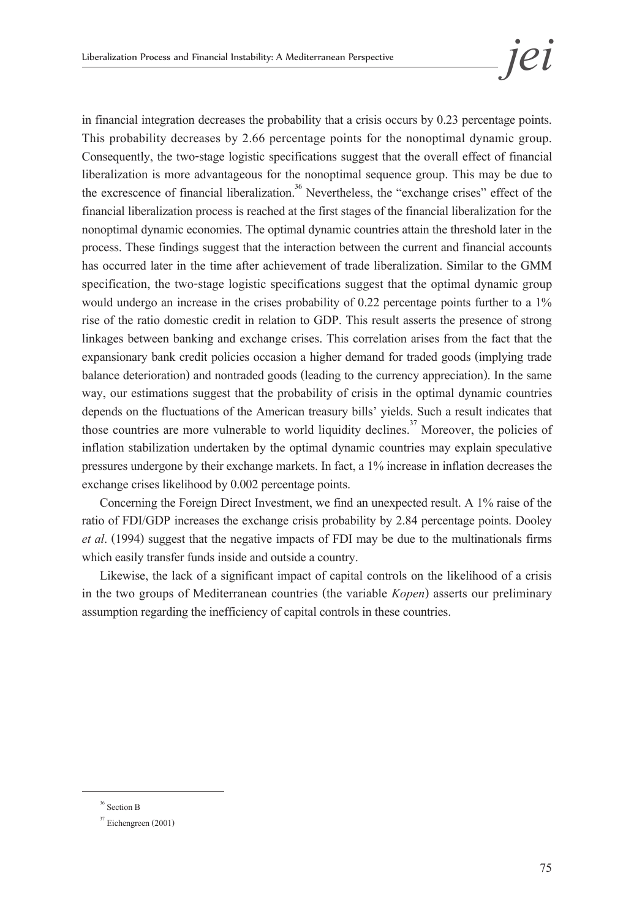in financial integration decreases the probability that a crisis occurs by 0.23 percentage points. This probability decreases by 2.66 percentage points for the nonoptimal dynamic group. Consequently, the two-stage logistic specifications suggest that the overall effect of financial liberalization is more advantageous for the nonoptimal sequence group. This may be due to the excrescence of financial liberalization.<sup>36</sup> Nevertheless, the "exchange crises" effect of the financial liberalization process is reached at the first stages of the financial liberalization for the nonoptimal dynamic economies. The optimal dynamic countries attain the threshold later in the process. These findings suggest that the interaction between the current and financial accounts has occurred later in the time after achievement of trade liberalization. Similar to the GMM specification, the two-stage logistic specifications suggest that the optimal dynamic group would undergo an increase in the crises probability of 0.22 percentage points further to a 1% rise of the ratio domestic credit in relation to GDP. This result asserts the presence of strong linkages between banking and exchange crises. This correlation arises from the fact that the expansionary bank credit policies occasion a higher demand for traded goods (implying trade balance deterioration) and nontraded goods (leading to the currency appreciation). In the same way, our estimations suggest that the probability of crisis in the optimal dynamic countries depends on the fluctuations of the American treasury bills' yields. Such a result indicates that those countries are more vulnerable to world liquidity declines.<sup>37</sup> Moreover, the policies of inflation stabilization undertaken by the optimal dynamic countries may explain speculative pressures undergone by their exchange markets. In fact, a 1% increase in inflation decreases the exchange crises likelihood by 0.002 percentage points.

Concerning the Foreign Direct Investment, we find an unexpected result. A 1% raise of the ratio of FDI/GDP increases the exchange crisis probability by 2.84 percentage points. Dooley *et al*. (1994) suggest that the negative impacts of FDI may be due to the multinationals firms which easily transfer funds inside and outside a country.

Likewise, the lack of a significant impact of capital controls on the likelihood of a crisis in the two groups of Mediterranean countries (the variable *Kopen*) asserts our preliminary assumption regarding the inefficiency of capital controls in these countries.

 $^{36}$  Section B

 $37$  Eichengreen (2001)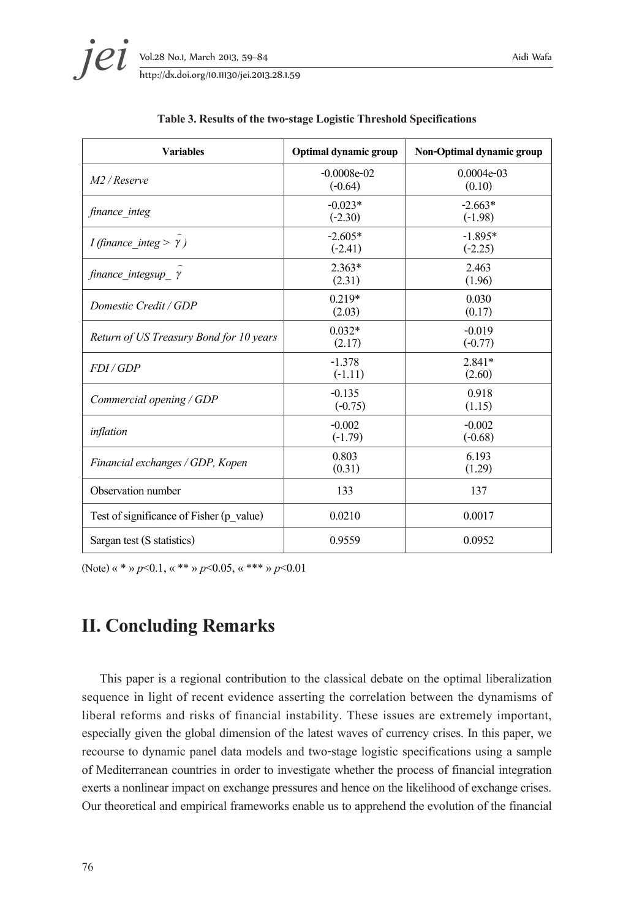| <b>Variables</b>                         | Optimal dynamic group      | Non-Optimal dynamic group |
|------------------------------------------|----------------------------|---------------------------|
| $M2$ / Reserve                           | $-0.0008e-02$<br>$(-0.64)$ | $0.0004e-03$<br>(0.10)    |
| finance integ                            | $-0.023*$<br>$(-2.30)$     | $-2.663*$<br>$(-1.98)$    |
| <i>I</i> (finance integ > $\gamma$ )     | $-2.605*$<br>$(-2.41)$     | $-1.895*$<br>$(-2.25)$    |
| finance integsup $\gamma$                | $2.363*$<br>(2.31)         | 2.463<br>(1.96)           |
| Domestic Credit / GDP                    | $0.219*$<br>(2.03)         | 0.030<br>(0.17)           |
| Return of US Treasury Bond for 10 years  | $0.032*$<br>(2.17)         | $-0.019$<br>$(-0.77)$     |
| FDI/GDP                                  | $-1.378$<br>$(-1.11)$      | $2.841*$<br>(2.60)        |
| Commercial opening / GDP                 | $-0.135$<br>$(-0.75)$      | 0.918<br>(1.15)           |
| inflation                                | $-0.002$<br>$(-1.79)$      | $-0.002$<br>$(-0.68)$     |
| Financial exchanges / GDP, Kopen         | 0.803<br>(0.31)            | 6.193<br>(1.29)           |
| Observation number                       | 133                        | 137                       |
| Test of significance of Fisher (p value) | 0.0210                     | 0.0017                    |
| Sargan test (S statistics)               | 0.9559                     | 0.0952                    |

#### **Table 3. Results of the two-stage Logistic Threshold Specifications**

(Note) «\*»*p*<0.1,«\*\*» *p*<0.05, «\*\*\*» *p*<0.01

# **II. Concluding Remarks**

This paper is a regional contribution to the classical debate on the optimal liberalization sequence in light of recent evidence asserting the correlation between the dynamisms of liberal reforms and risks of financial instability. These issues are extremely important, especially given the global dimension of the latest waves of currency crises. In this paper, we recourse to dynamic panel data models and two-stage logistic specifications using a sample of Mediterranean countries in order to investigate whether the process of financial integration exerts a nonlinear impact on exchange pressures and hence on the likelihood of exchange crises. Our theoretical and empirical frameworks enable us to apprehend the evolution of the financial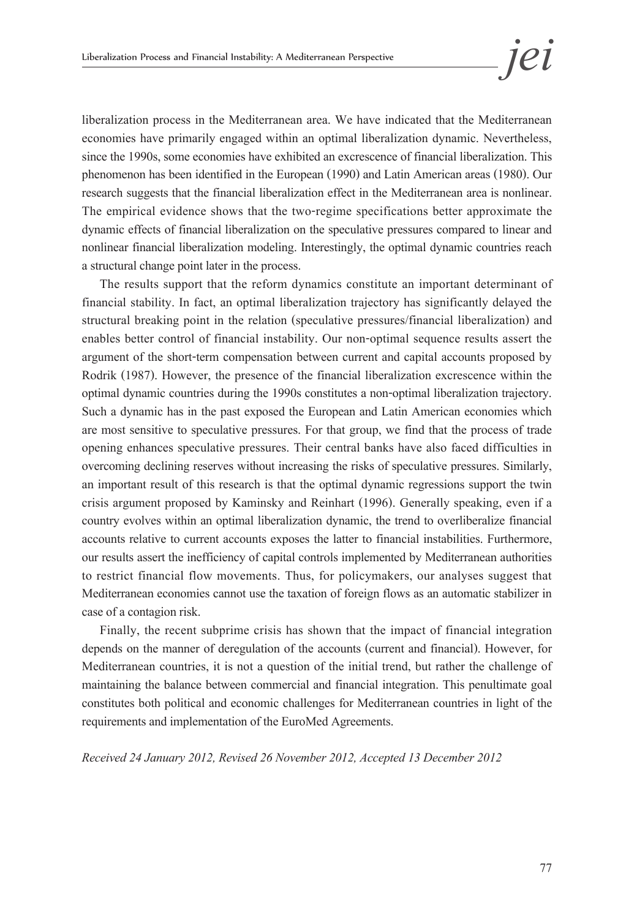liberalization process in the Mediterranean area. We have indicated that the Mediterranean economies have primarily engaged within an optimal liberalization dynamic. Nevertheless, since the 1990s, some economies have exhibited an excrescence of financial liberalization. This phenomenon has been identified in the European (1990) and Latin American areas (1980). Our research suggests that the financial liberalization effect in the Mediterranean area is nonlinear. The empirical evidence shows that the two-regime specifications better approximate the dynamic effects of financial liberalization on the speculative pressures compared to linear and nonlinear financial liberalization modeling. Interestingly, the optimal dynamic countries reach a structural change point later in the process.

The results support that the reform dynamics constitute an important determinant of financial stability. In fact, an optimal liberalization trajectory has significantly delayed the structural breaking point in the relation (speculative pressures/financial liberalization) and enables better control of financial instability. Our non-optimal sequence results assert the argument of the short-term compensation between current and capital accounts proposed by Rodrik (1987). However, the presence of the financial liberalization excrescence within the optimal dynamic countries during the 1990s constitutes a non-optimal liberalization trajectory. Such a dynamic has in the past exposed the European and Latin American economies which are most sensitive to speculative pressures. For that group, we find that the process of trade opening enhances speculative pressures. Their central banks have also faced difficulties in overcoming declining reserves without increasing the risks of speculative pressures. Similarly, an important result of this research is that the optimal dynamic regressions support the twin crisis argument proposed by Kaminsky and Reinhart (1996). Generally speaking, even if a country evolves within an optimal liberalization dynamic, the trend to overliberalize financial accounts relative to current accounts exposes the latter to financial instabilities. Furthermore, our results assert the inefficiency of capital controls implemented by Mediterranean authorities to restrict financial flow movements. Thus, for policymakers, our analyses suggest that Mediterranean economies cannot use the taxation of foreign flows as an automatic stabilizer in case of a contagion risk.

Finally, the recent subprime crisis has shown that the impact of financial integration depends on the manner of deregulation of the accounts (current and financial). However, for Mediterranean countries, it is not a question of the initial trend, but rather the challenge of maintaining the balance between commercial and financial integration. This penultimate goal constitutes both political and economic challenges for Mediterranean countries in light of the requirements and implementation of the EuroMed Agreements.

*Received 24 January 2012, Revised 26 November 2012, Accepted 13 December 2012*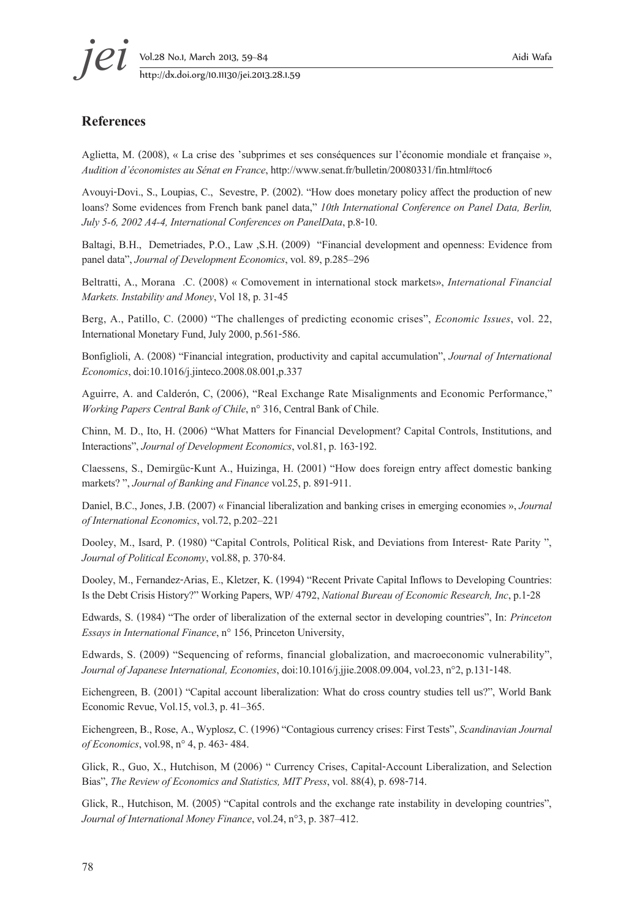#### **References**

Aglietta, M. (2008), « La crise des 'subprimes et ses conséquences sur l'économie mondiale et française », *Audition d'économistes au Sénat en France*, http://www.senat.fr/bulletin/20080331/fin.html#toc6

Avouyi-Dovi., S., Loupias, C., Sevestre, P. (2002). "How does monetary policy affect the production of new loans? Some evidences from French bank panel data," *10th International Conference on Panel Data, Berlin, July 5-6, 2002 A4-4, International Conferences on PanelData*, p.8-10.

Baltagi, B.H., Demetriades, P.O., Law ,S.H. (2009) "Financial development and openness: Evidence from panel data", *Journal of Development Economics*, vol. 89, p.285–296

Beltratti, A., Morana .C. (2008) « Comovement in international stock markets», *International Financial Markets. Instability and Money*, Vol 18, p. 31-45

Berg, A., Patillo, C. (2000) "The challenges of predicting economic crises", *Economic Issues*, vol. 22, International Monetary Fund, July 2000, p.561-586.

Bonfiglioli, A. (2008) "Financial integration, productivity and capital accumulation", *Journal of International Economics*, doi:10.1016/j.jinteco.2008.08.001,p.337

Aguirre, A. and Calderón, C, (2006), "Real Exchange Rate Misalignments and Economic Performance," *Working Papers Central Bank of Chile*, n° 316, Central Bank of Chile.

Chinn, M. D., Ito, H. (2006) "What Matters for Financial Development? Capital Controls, Institutions, and Interactions", *Journal of Development Economics*, vol.81, p. 163-192.

Claessens, S., Demirgüc-Kunt A., Huizinga, H. (2001) "How does foreign entry affect domestic banking markets? ", *Journal of Banking and Finance* vol.25, p. 891-911.

Daniel, B.C., Jones, J.B. (2007) « Financial liberalization and banking crises in emerging economies », *Journal of International Economics*, vol.72, p.202–221

Dooley, M., Isard, P. (1980) "Capital Controls, Political Risk, and Deviations from Interest- Rate Parity ", *Journal of Political Economy*, vol.88, p. 370-84.

Dooley, M., Fernandez-Arias, E., Kletzer, K. (1994) "Recent Private Capital Inflows to Developing Countries: Is the Debt Crisis History?" Working Papers, WP/ 4792, *National Bureau of Economic Research, Inc*, p.1-28

Edwards, S. (1984) "The order of liberalization of the external sector in developing countries", In: *Princeton Essays in International Finance*, n° 156, Princeton University,

Edwards, S. (2009) "Sequencing of reforms, financial globalization, and macroeconomic vulnerability", *Journal of Japanese International, Economies*, doi:10.1016/j.jjie.2008.09.004, vol.23, n°2, p.131-148.

Eichengreen, B. (2001) "Capital account liberalization: What do cross country studies tell us?", World Bank Economic Revue, Vol.15, vol.3, p. 41–365.

Eichengreen, B., Rose, A., Wyplosz, C. (1996) "Contagious currency crises: First Tests", *Scandinavian Journal of Economics*, vol.98, n° 4, p. 463- 484.

Glick, R., Guo, X., Hutchison, M (2006) " Currency Crises, Capital-Account Liberalization, and Selection Bias", *The Review of Economics and Statistics, MIT Press*, vol. 88(4), p. 698-714.

Glick, R., Hutchison, M. (2005) "Capital controls and the exchange rate instability in developing countries", *Journal of International Money Finance*, vol.24, n°3, p. 387–412.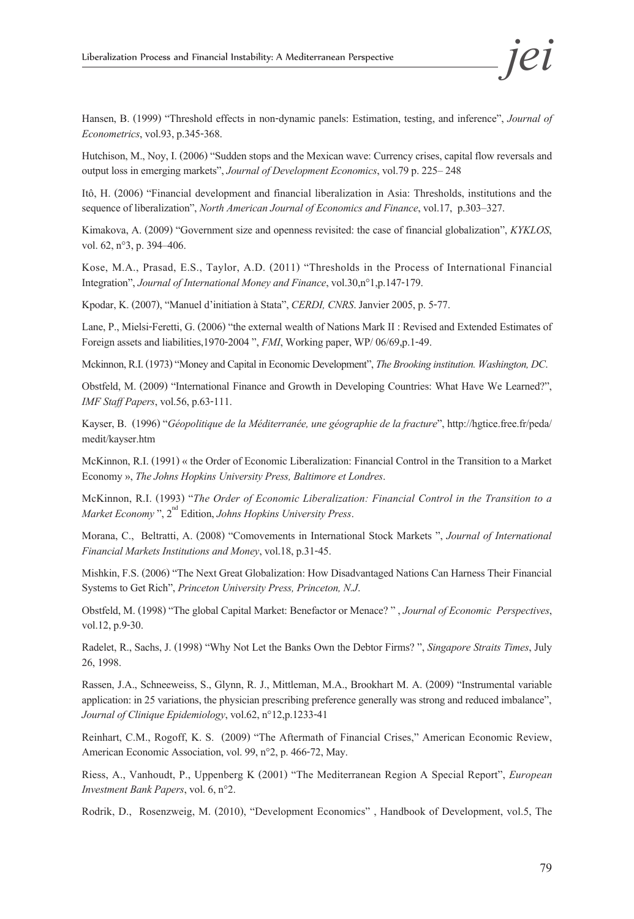Hansen, B. (1999) "Threshold effects in non-dynamic panels: Estimation, testing, and inference", *Journal of Econometrics*, vol.93, p.345-368.

Hutchison, M., Noy, I. (2006) "Sudden stops and the Mexican wave: Currency crises, capital flow reversals and output loss in emerging markets", *Journal of Development Economics*, vol.79 p. 225– 248

Itô, H. (2006) "Financial development and financial liberalization in Asia: Thresholds, institutions and the sequence of liberalization", *North American Journal of Economics and Finance*, vol.17, p.303–327.

Kimakova, A. (2009) "Government size and openness revisited: the case of financial globalization", *KYKLOS*, vol. 62, n°3, p. 394–406.

Kose, M.A., Prasad, E.S., Taylor, A.D. (2011) "Thresholds in the Process of International Financial Integration", *Journal of International Money and Finance*, vol.30,n°1,p.147-179.

Kpodar, K. (2007), "Manuel d'initiation à Stata", *CERDI, CNRS*. Janvier 2005, p. 5-77.

Lane, P., Mielsi-Feretti, G. (2006) "the external wealth of Nations Mark II : Revised and Extended Estimates of Foreign assets and liabilities,1970-2004 ", *FMI*, Working paper, WP/ 06/69,p.1-49.

Mckinnon, R.I. (1973) "Money and Capital in Economic Development", *The Brooking institution. Washington, DC*.

Obstfeld, M. (2009) "International Finance and Growth in Developing Countries: What Have We Learned?", *IMF Staff Papers*, vol.56, p.63-111.

Kayser, B. (1996) "*Géopolitique de la Méditerranée, une géographie de la fracture*", http://hgtice.free.fr/peda/ medit/kayser.htm

McKinnon, R.I. (1991) « the Order of Economic Liberalization: Financial Control in the Transition to a Market Economy », *The Johns Hopkins University Press, Baltimore et Londres*.

McKinnon, R.I. (1993) "*The Order of Economic Liberalization: Financial Control in the Transition to a Market Economy* ", 2<sup>nd</sup> Edition, *Johns Hopkins University Press*.

Morana, C., Beltratti, A. (2008) "Comovements in International Stock Markets ", *Journal of International Financial Markets Institutions and Money*, vol.18, p.31-45.

Mishkin, F.S. (2006) "The Next Great Globalization: How Disadvantaged Nations Can Harness Their Financial Systems to Get Rich", *Princeton University Press, Princeton, N.J*.

Obstfeld, M. (1998) "The global Capital Market: Benefactor or Menace? " , *Journal of Economic Perspectives*, vol.12, p.9-30.

Radelet, R., Sachs, J. (1998) "Why Not Let the Banks Own the Debtor Firms? ", *Singapore Straits Times*, July 26, 1998.

Rassen, J.A., Schneeweiss, S., Glynn, R. J., Mittleman, M.A., Brookhart M. A. (2009) "Instrumental variable application: in 25 variations, the physician prescribing preference generally was strong and reduced imbalance", *Journal of Clinique Epidemiology*, vol.62, n°12,p.1233-41

Reinhart, C.M., Rogoff, K. S. (2009) "The Aftermath of Financial Crises," American Economic Review, American Economic Association, vol. 99, n°2, p. 466-72, May.

Riess, A., Vanhoudt, P., Uppenberg K (2001) "The Mediterranean Region A Special Report", *European Investment Bank Papers*, vol. 6, n°2.

Rodrik, D., Rosenzweig, M. (2010), "Development Economics" , Handbook of Development, vol.5, The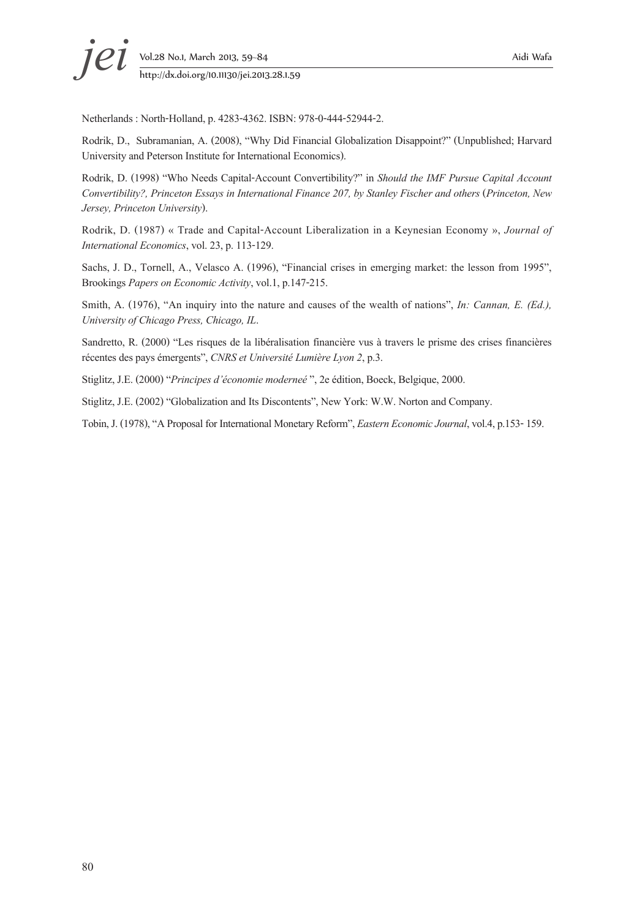Netherlands : North-Holland, p. 4283-4362. ISBN: 978-0-444-52944-2.

Rodrik, D., Subramanian, A. (2008), "Why Did Financial Globalization Disappoint?" (Unpublished; Harvard University and Peterson Institute for International Economics).

Rodrik, D. (1998) "Who Needs Capital-Account Convertibility?" in *Should the IMF Pursue Capital Account Convertibility?, Princeton Essays in International Finance 207, by Stanley Fischer and others* (*Princeton, New Jersey, Princeton University*).

Rodrik, D. (1987) « Trade and Capital-Account Liberalization in a Keynesian Economy », *Journal of International Economics*, vol. 23, p. 113-129.

Sachs, J. D., Tornell, A., Velasco A. (1996), "Financial crises in emerging market: the lesson from 1995", Brookings *Papers on Economic Activity*, vol.1, p.147-215.

Smith, A. (1976), "An inquiry into the nature and causes of the wealth of nations", *In: Cannan, E. (Ed.), University of Chicago Press, Chicago, IL*.

Sandretto, R. (2000) "Les risques de la libéralisation financière vus à travers le prisme des crises financières récentes des pays émergents", *CNRS et Université Lumière Lyon 2*, p.3.

Stiglitz, J.E. (2000) "*Principes d'économie moderneé* ", 2e édition, Boeck, Belgique, 2000.

Stiglitz, J.E. (2002) "Globalization and Its Discontents", New York: W.W. Norton and Company.

Tobin, J. (1978), "A Proposal for International Monetary Reform", *Eastern Economic Journal*, vol.4, p.153- 159.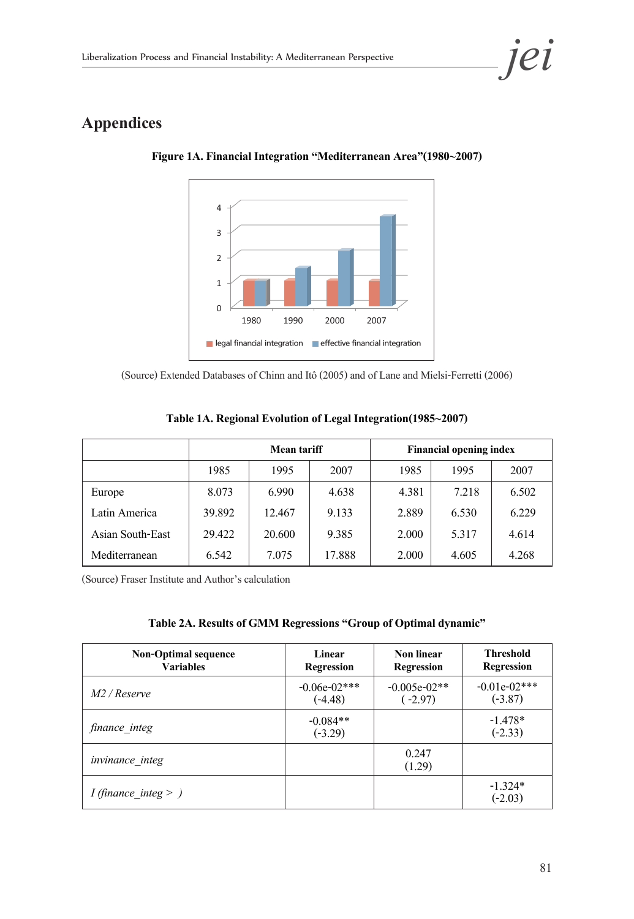## **Appendices**



**Figure 1A. Financial Integration "Mediterranean Area"(1980~2007)**

(Source) Extended Databases of Chinn and Itô (2005) and of Lane and Mielsi-Ferretti (2006)

|                  | <b>Mean tariff</b> |        | <b>Financial opening index</b> |       |       |       |
|------------------|--------------------|--------|--------------------------------|-------|-------|-------|
|                  | 1985               | 1995   | 2007                           | 1985  | 1995  | 2007  |
| Europe           | 8.073              | 6.990  | 4.638                          | 4.381 | 7.218 | 6.502 |
| Latin America    | 39.892             | 12.467 | 9.133                          | 2.889 | 6.530 | 6.229 |
| Asian South-East | 29.422             | 20.600 | 9.385                          | 2.000 | 5.317 | 4.614 |
| Mediterranean    | 6.542              | 7.075  | 17.888                         | 2.000 | 4.605 | 4.268 |

|  | Table 1A. Regional Evolution of Legal Integration(1985~2007) |
|--|--------------------------------------------------------------|
|--|--------------------------------------------------------------|

(Source) Fraser Institute and Author's calculation

| Table 2A. Results of GMM Regressions "Group of Optimal dynamic" |  |
|-----------------------------------------------------------------|--|
|-----------------------------------------------------------------|--|

| <b>Non-Optimal sequence</b><br><b>Variables</b> | Linear<br><b>Regression</b> | Non linear<br><b>Regression</b> | <b>Threshold</b><br><b>Regression</b> |
|-------------------------------------------------|-----------------------------|---------------------------------|---------------------------------------|
| M2 / Reserve                                    | $-0.06e-02***$<br>$(-4.48)$ | $-0.005e-02**$<br>$(-2.97)$     | $-0.01e-02***$<br>$(-3.87)$           |
| finance integ                                   | $-0.084**$<br>$(-3.29)$     |                                 | $-1.478*$<br>$(-2.33)$                |
| invinance_integ                                 |                             | 0.247<br>(1.29)                 |                                       |
| <i>I</i> (finance integ $>$ )                   |                             |                                 | $-1.324*$<br>$(-2.03)$                |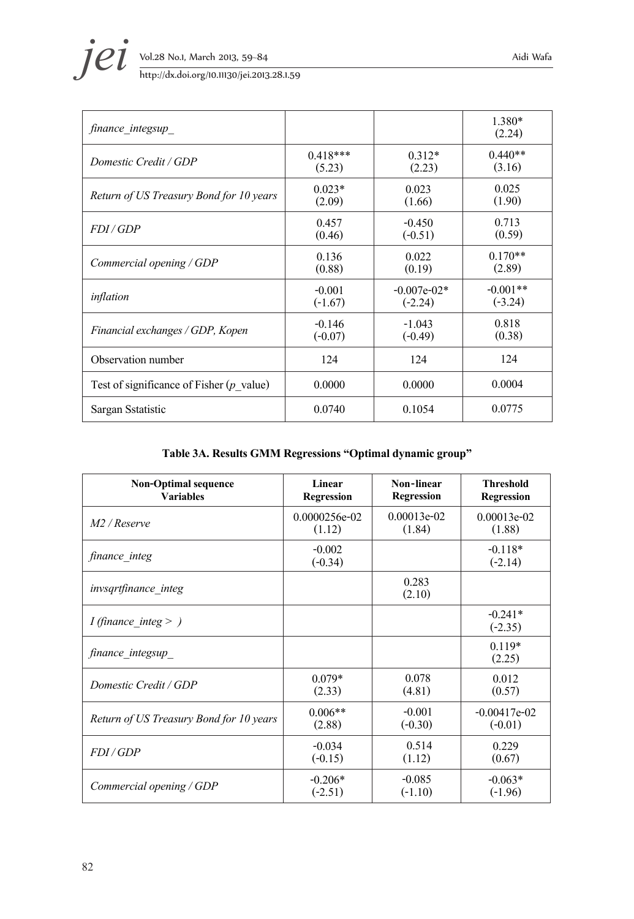**jei** Vol.28 No.1, March 2013, 59–84 Aidi Wafa<br>http://dx.doi.org/10.11130/jei.2013.28.1.59

| finance integsup                           |            |               | 1.380*<br>(2.24) |
|--------------------------------------------|------------|---------------|------------------|
| Domestic Credit / GDP                      | $0.418***$ | $0.312*$      | $0.440**$        |
|                                            | (5.23)     | (2.23)        | (3.16)           |
| Return of US Treasury Bond for 10 years    | $0.023*$   | 0.023         | 0.025            |
|                                            | (2.09)     | (1.66)        | (1.90)           |
| FDI/GDP                                    | 0.457      | $-0.450$      | 0.713            |
|                                            | (0.46)     | $(-0.51)$     | (0.59)           |
| Commercial opening / GDP                   | 0.136      | 0.022         | $0.170**$        |
|                                            | (0.88)     | (0.19)        | (2.89)           |
| inflation                                  | $-0.001$   | $-0.007e-02*$ | $-0.001**$       |
|                                            | $(-1.67)$  | $(-2.24)$     | $(-3.24)$        |
| Financial exchanges / GDP, Kopen           | $-0.146$   | $-1.043$      | 0.818            |
|                                            | $(-0.07)$  | $(-0.49)$     | (0.38)           |
| Observation number                         | 124        | 124           | 124              |
| Test of significance of Fisher $(p$ value) | 0.0000     | 0.0000        | 0.0004           |
| Sargan Sstatistic                          | 0.0740     | 0.1054        | 0.0775           |

#### **Table 3A. Results GMM Regressions "Optimal dynamic group"**

| <b>Non-Optimal sequence</b>             | Linear                | Non-linear        | <b>Threshold</b>       |
|-----------------------------------------|-----------------------|-------------------|------------------------|
| <b>Variables</b>                        | <b>Regression</b>     | <b>Regression</b> | <b>Regression</b>      |
| $M2$ / Reserve                          | 0.0000256e-02         | $0.00013e-02$     | $0.00013e-02$          |
|                                         | (1.12)                | (1.84)            | (1.88)                 |
| finance integ                           | $-0.002$<br>$(-0.34)$ |                   | $-0.118*$<br>$(-2.14)$ |
| <i>invsgrtfinance integ</i>             |                       | 0.283<br>(2.10)   |                        |
| <i>I</i> (finance integ $>$ )           |                       |                   | $-0.241*$<br>$(-2.35)$ |
| finance integsup                        |                       |                   | $0.119*$<br>(2.25)     |
| Domestic Credit / GDP                   | $0.079*$              | 0.078             | 0.012                  |
|                                         | (2.33)                | (4.81)            | (0.57)                 |
| Return of US Treasury Bond for 10 years | $0.006**$             | $-0.001$          | $-0.00417e-02$         |
|                                         | (2.88)                | $(-0.30)$         | $(-0.01)$              |
| FDI/GDP                                 | $-0.034$              | 0.514             | 0.229                  |
|                                         | $(-0.15)$             | (1.12)            | (0.67)                 |
| Commercial opening / GDP                | $-0.206*$             | $-0.085$          | $-0.063*$              |
|                                         | $(-2.51)$             | $(-1.10)$         | $(-1.96)$              |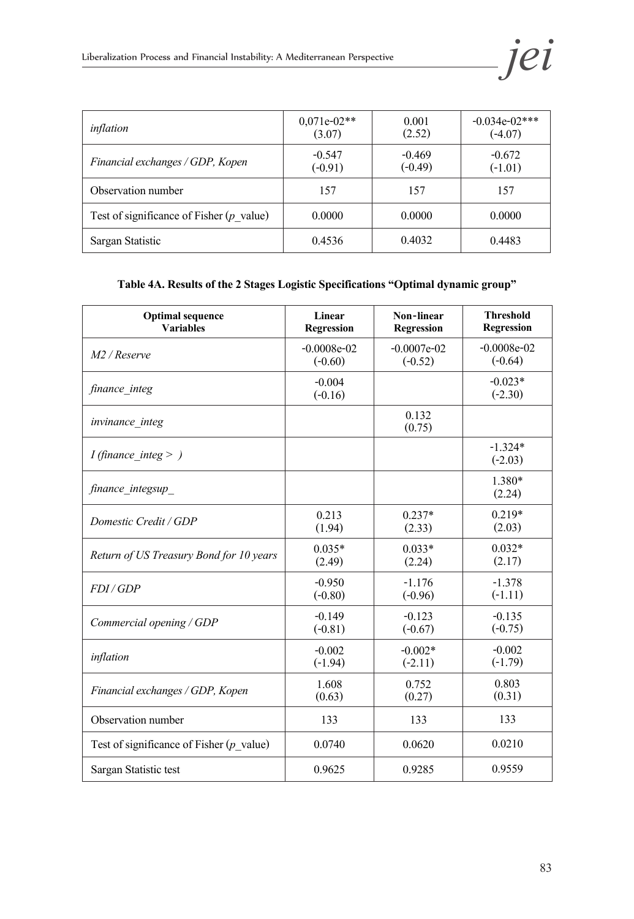| inflation                                          | $0,071e-02**$<br>(3.07) | 0.001<br>(2.52)       | $-0.034e-02***$<br>$(-4.07)$ |
|----------------------------------------------------|-------------------------|-----------------------|------------------------------|
| Financial exchanges / GDP, Kopen                   | $-0.547$<br>$(-0.91)$   | $-0.469$<br>$(-0.49)$ | $-0.672$<br>$(-1.01)$        |
| Observation number                                 | 157                     | 157                   | 157                          |
| Test of significance of Fisher $(p \text{ value})$ | 0.0000                  | 0.0000                | 0.0000                       |
| Sargan Statistic                                   | 0.4536                  | 0.4032                | 0.4483                       |

#### **Table 4A. Results of the 2 Stages Logistic Specifications "Optimal dynamic group"**

| <b>Optimal sequence</b>                            | Linear                | Non-linear      | <b>Threshold</b>       |
|----------------------------------------------------|-----------------------|-----------------|------------------------|
| <b>Variables</b>                                   | <b>Regression</b>     | Regression      | Regression             |
| $M2$ / Reserve                                     | $-0.0008e-02$         | $-0.0007e-02$   | $-0.0008e-02$          |
|                                                    | $(-0.60)$             | $(-0.52)$       | $(-0.64)$              |
| finance integ                                      | $-0.004$<br>$(-0.16)$ |                 | $-0.023*$<br>$(-2.30)$ |
| invinance_integ                                    |                       | 0.132<br>(0.75) |                        |
| <i>I</i> (finance integ $>$ )                      |                       |                 | $-1.324*$<br>$(-2.03)$ |
| finance integsup                                   |                       |                 | 1.380*<br>(2.24)       |
| Domestic Credit / GDP                              | 0.213                 | $0.237*$        | $0.219*$               |
|                                                    | (1.94)                | (2.33)          | (2.03)                 |
| Return of US Treasury Bond for 10 years            | $0.035*$              | $0.033*$        | $0.032*$               |
|                                                    | (2.49)                | (2.24)          | (2.17)                 |
| FDI/GDP                                            | $-0.950$              | $-1.176$        | $-1.378$               |
|                                                    | $(-0.80)$             | $(-0.96)$       | $(-1.11)$              |
| Commercial opening / $GDP$                         | $-0.149$              | $-0.123$        | $-0.135$               |
|                                                    | $(-0.81)$             | $(-0.67)$       | $(-0.75)$              |
| inflation                                          | $-0.002$              | $-0.002*$       | $-0.002$               |
|                                                    | $(-1.94)$             | $(-2.11)$       | $(-1.79)$              |
| Financial exchanges / GDP, Kopen                   | 1.608                 | 0.752           | 0.803                  |
|                                                    | (0.63)                | (0.27)          | (0.31)                 |
| Observation number                                 | 133                   | 133             | 133                    |
| Test of significance of Fisher $(p \text{ value})$ | 0.0740                | 0.0620          | 0.0210                 |
| Sargan Statistic test                              | 0.9625                | 0.9285          | 0.9559                 |